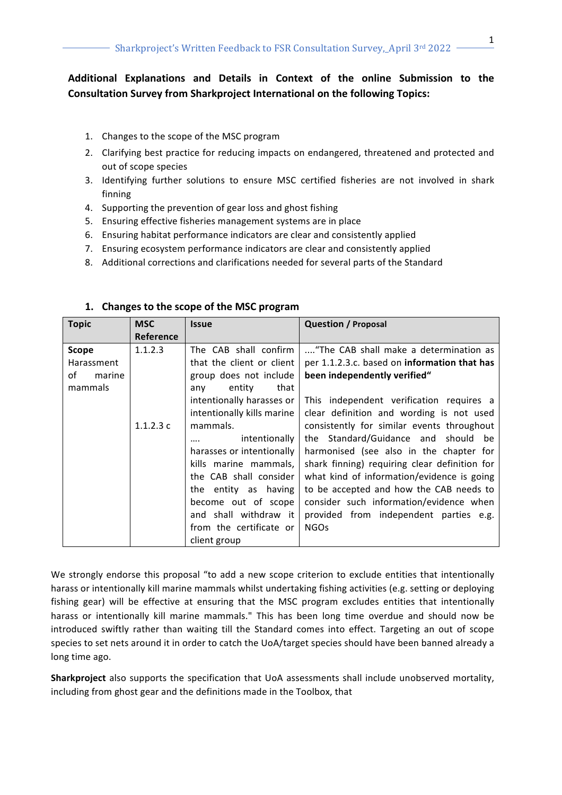# **Additional Explanations and Details in Context of the online Submission to the Consultation Survey from Sharkproject International on the following Topics:**

- 1. Changes to the scope of the MSC program
- 2. Clarifying best practice for reducing impacts on endangered, threatened and protected and out of scope species
- 3. Identifying further solutions to ensure MSC certified fisheries are not involved in shark finning
- 4. Supporting the prevention of gear loss and ghost fishing
- 5. Ensuring effective fisheries management systems are in place
- 6. Ensuring habitat performance indicators are clear and consistently applied
- 7. Ensuring ecosystem performance indicators are clear and consistently applied
- 8. Additional corrections and clarifications needed for several parts of the Standard

| <b>Topic</b> | <b>MSC</b> | <b>Issue</b>               | <b>Question / Proposal</b>                          |
|--------------|------------|----------------------------|-----------------------------------------------------|
|              | Reference  |                            |                                                     |
| <b>Scope</b> | 1.1.2.3    | The CAB shall confirm      | "The CAB shall make a determination as              |
| Harassment   |            | that the client or client  | per 1.1.2.3.c. based on <b>information that has</b> |
| of<br>marine |            | group does not include     | been independently verified"                        |
| mammals      |            | that<br>entity<br>any      |                                                     |
|              |            | intentionally harasses or  | This independent verification requires a            |
|              |            | intentionally kills marine | clear definition and wording is not used            |
|              | 1.1.2.3c   | mammals.                   | consistently for similar events throughout          |
|              |            | intentionally<br>          | the Standard/Guidance and should be                 |
|              |            | harasses or intentionally  | harmonised (see also in the chapter for             |
|              |            | kills marine mammals,      | shark finning) requiring clear definition for       |
|              |            | the CAB shall consider     | what kind of information/evidence is going          |
|              |            | the entity as having       | to be accepted and how the CAB needs to             |
|              |            | become out of scope        | consider such information/evidence when             |
|              |            | and shall withdraw it      | provided from independent parties e.g.              |
|              |            | from the certificate or    | <b>NGOs</b>                                         |
|              |            | client group               |                                                     |

#### 1. Changes to the scope of the MSC program

We strongly endorse this proposal "to add a new scope criterion to exclude entities that intentionally harass or intentionally kill marine mammals whilst undertaking fishing activities (e.g. setting or deploying fishing gear) will be effective at ensuring that the MSC program excludes entities that intentionally harass or intentionally kill marine mammals." This has been long time overdue and should now be introduced swiftly rather than waiting till the Standard comes into effect. Targeting an out of scope species to set nets around it in order to catch the UoA/target species should have been banned already a long time ago.

**Sharkproject** also supports the specification that UoA assessments shall include unobserved mortality, including from ghost gear and the definitions made in the Toolbox, that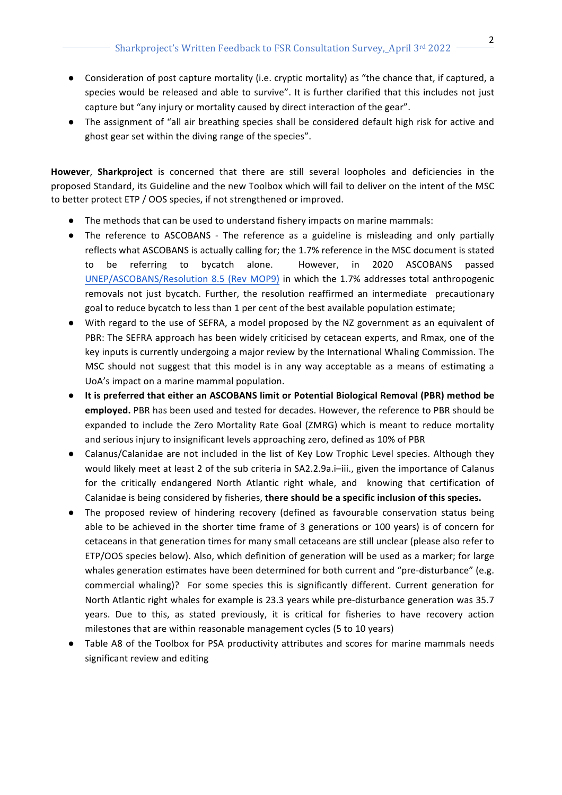- Consideration of post capture mortality (i.e. cryptic mortality) as "the chance that, if captured, a species would be released and able to survive". It is further clarified that this includes not just capture but "any injury or mortality caused by direct interaction of the gear".
- The assignment of "all air breathing species shall be considered default high risk for active and ghost gear set within the diving range of the species".

**However, Sharkproject** is concerned that there are still several loopholes and deficiencies in the proposed Standard, its Guideline and the new Toolbox which will fail to deliver on the intent of the MSC to better protect ETP / OOS species, if not strengthened or improved.

- The methods that can be used to understand fishery impacts on marine mammals:
- The reference to ASCOBANS The reference as a guideline is misleading and only partially reflects what ASCOBANS is actually calling for; the 1.7% reference in the MSC document is stated to be referring to bycatch alone. However, in 2020 ASCOBANS passed UNEP/ASCOBANS/Resolution 8.5 (Rev MOP9) in which the 1.7% addresses total anthropogenic removals not just bycatch. Further, the resolution reaffirmed an intermediate precautionary goal to reduce bycatch to less than 1 per cent of the best available population estimate;
- With regard to the use of SEFRA, a model proposed by the NZ government as an equivalent of PBR: The SEFRA approach has been widely criticised by cetacean experts, and Rmax, one of the key inputs is currently undergoing a major review by the International Whaling Commission. The MSC should not suggest that this model is in any way acceptable as a means of estimating a UoA's impact on a marine mammal population.
- **•** It is preferred that either an ASCOBANS limit or Potential Biological Removal (PBR) method be **employed.** PBR has been used and tested for decades. However, the reference to PBR should be expanded to include the Zero Mortality Rate Goal (ZMRG) which is meant to reduce mortality and serious injury to insignificant levels approaching zero, defined as 10% of PBR
- Calanus/Calanidae are not included in the list of Key Low Trophic Level species. Although they would likely meet at least 2 of the sub criteria in SA2.2.9a.i-iii., given the importance of Calanus for the critically endangered North Atlantic right whale, and knowing that certification of Calanidae is being considered by fisheries, there should be a specific inclusion of this species.
- The proposed review of hindering recovery (defined as favourable conservation status being able to be achieved in the shorter time frame of 3 generations or 100 years) is of concern for cetaceans in that generation times for many small cetaceans are still unclear (please also refer to ETP/OOS species below). Also, which definition of generation will be used as a marker; for large whales generation estimates have been determined for both current and "pre-disturbance" (e.g. commercial whaling)? For some species this is significantly different. Current generation for North Atlantic right whales for example is 23.3 years while pre-disturbance generation was 35.7 years. Due to this, as stated previously, it is critical for fisheries to have recovery action milestones that are within reasonable management cycles (5 to 10 years)
- Table A8 of the Toolbox for PSA productivity attributes and scores for marine mammals needs significant review and editing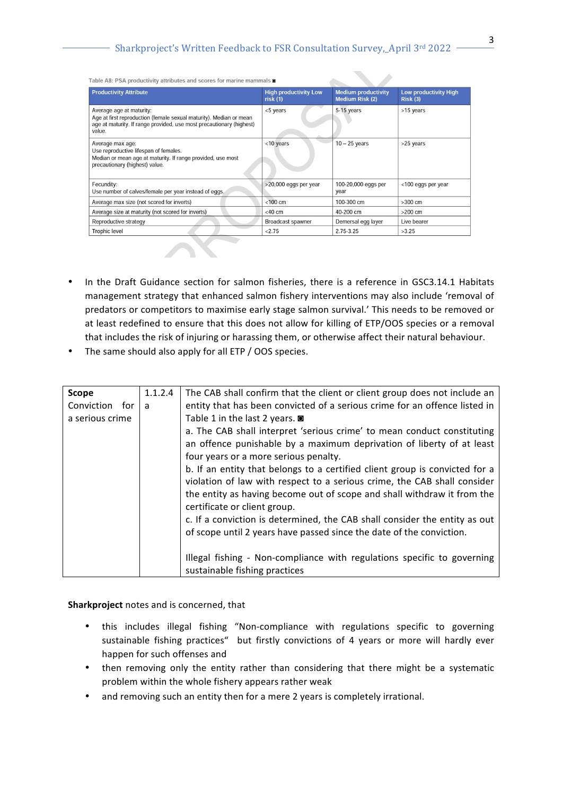$\mathcal{L}_{\text{max}}$ 

Table A8: PSA productivity attributes and scores for marine mammals  $\blacksquare$ 

| <b>High productivity Low</b><br>risk(1) | <b>Medium productivity</b><br><b>Medium Risk (2)</b> | <b>Low productivity High</b><br>Risk(3) |  |
|-----------------------------------------|------------------------------------------------------|-----------------------------------------|--|
| <5 years                                | 5-15 years                                           | >15 years                               |  |
| <10 years                               | $10 - 25$ years                                      | >25 years                               |  |
| >20,000 eggs per year                   | 100-20,000 eggs per<br>year                          | <100 eggs per year                      |  |
| $< 100$ cm                              | 100-300 cm                                           | $>300$ cm                               |  |
| $<$ 40 cm                               | 40-200 cm                                            | $>200$ cm                               |  |
| Broadcast spawner                       | Demersal egg layer                                   | Live bearer                             |  |
| < 2.75                                  | 2.75-3.25                                            | >3.25                                   |  |
|                                         |                                                      |                                         |  |

- In the Draft Guidance section for salmon fisheries, there is a reference in GSC3.14.1 Habitats management strategy that enhanced salmon fishery interventions may also include 'removal of predators or competitors to maximise early stage salmon survival.' This needs to be removed or at least redefined to ensure that this does not allow for killing of ETP/OOS species or a removal that includes the risk of injuring or harassing them, or otherwise affect their natural behaviour.
- The same should also apply for all ETP / OOS species.

| Scope           | 1.1.2.4 | The CAB shall confirm that the client or client group does not include an   |
|-----------------|---------|-----------------------------------------------------------------------------|
| Conviction for  | a       | entity that has been convicted of a serious crime for an offence listed in  |
| a serious crime |         | Table 1 in the last 2 years. ■                                              |
|                 |         | a. The CAB shall interpret 'serious crime' to mean conduct constituting     |
|                 |         | an offence punishable by a maximum deprivation of liberty of at least       |
|                 |         | four years or a more serious penalty.                                       |
|                 |         | b. If an entity that belongs to a certified client group is convicted for a |
|                 |         | violation of law with respect to a serious crime, the CAB shall consider    |
|                 |         | the entity as having become out of scope and shall withdraw it from the     |
|                 |         | certificate or client group.                                                |
|                 |         | c. If a conviction is determined, the CAB shall consider the entity as out  |
|                 |         | of scope until 2 years have passed since the date of the conviction.        |
|                 |         |                                                                             |
|                 |         | Illegal fishing - Non-compliance with regulations specific to governing     |
|                 |         | sustainable fishing practices                                               |

**Sharkproject** notes and is concerned, that

- this includes illegal fishing "Non-compliance with regulations specific to governing sustainable fishing practices" but firstly convictions of 4 years or more will hardly ever happen for such offenses and
- then removing only the entity rather than considering that there might be a systematic problem within the whole fishery appears rather weak
- and removing such an entity then for a mere 2 years is completely irrational.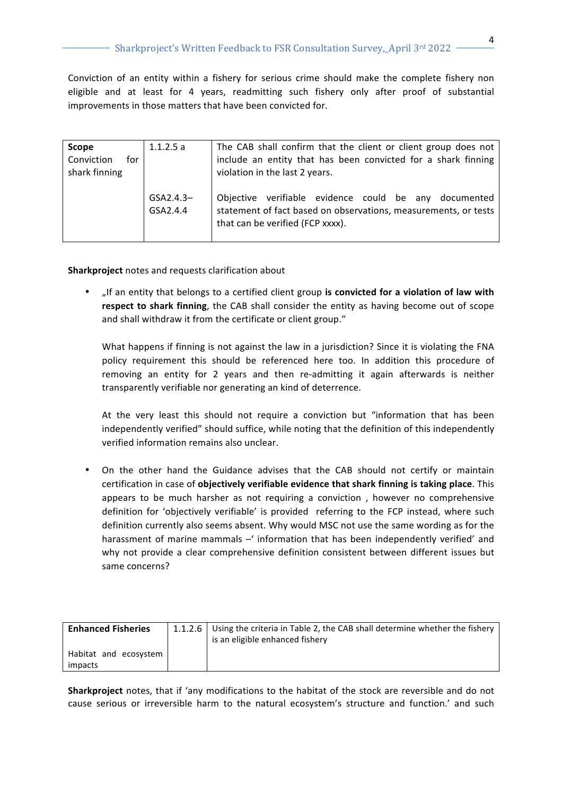Conviction of an entity within a fishery for serious crime should make the complete fishery non eligible and at least for 4 years, readmitting such fishery only after proof of substantial improvements in those matters that have been convicted for.

| <b>Scope</b>      | 1.1.2.5a    | The CAB shall confirm that the client or client group does not  |  |  |  |
|-------------------|-------------|-----------------------------------------------------------------|--|--|--|
| Conviction<br>for |             | include an entity that has been convicted for a shark finning   |  |  |  |
| shark finning     |             | violation in the last 2 years.                                  |  |  |  |
|                   |             |                                                                 |  |  |  |
|                   | $GSA2.4.3-$ | verifiable evidence could be any<br>Obiective<br>documented     |  |  |  |
|                   | GSA2.4.4    | statement of fact based on observations, measurements, or tests |  |  |  |
|                   |             | that can be verified (FCP xxxx).                                |  |  |  |
|                   |             |                                                                 |  |  |  |

**Sharkproject** notes and requests clarification about

"If an entity that belongs to a certified client group is convicted for a violation of law with **respect to shark finning**, the CAB shall consider the entity as having become out of scope and shall withdraw it from the certificate or client group."

What happens if finning is not against the law in a jurisdiction? Since it is violating the FNA policy requirement this should be referenced here too. In addition this procedure of removing an entity for 2 years and then re-admitting it again afterwards is neither transparently verifiable nor generating an kind of deterrence.

At the very least this should not require a conviction but "information that has been independently verified" should suffice, while noting that the definition of this independently verified information remains also unclear.

On the other hand the Guidance advises that the CAB should not certify or maintain certification in case of **objectively verifiable evidence that shark finning is taking place**. This appears to be much harsher as not requiring a conviction, however no comprehensive definition for 'objectively verifiable' is provided referring to the FCP instead, where such definition currently also seems absent. Why would MSC not use the same wording as for the harassment of marine mammals  $-$ ' information that has been independently verified' and why not provide a clear comprehensive definition consistent between different issues but same concerns?

| <b>Enhanced Fisheries</b>        | 1.1.2.6   Using the criteria in Table 2, the CAB shall determine whether the fishery<br>is an eligible enhanced fishery |
|----------------------------------|-------------------------------------------------------------------------------------------------------------------------|
| Habitat and ecosystem<br>impacts |                                                                                                                         |

**Sharkproject** notes, that if 'any modifications to the habitat of the stock are reversible and do not cause serious or irreversible harm to the natural ecosystem's structure and function.' and such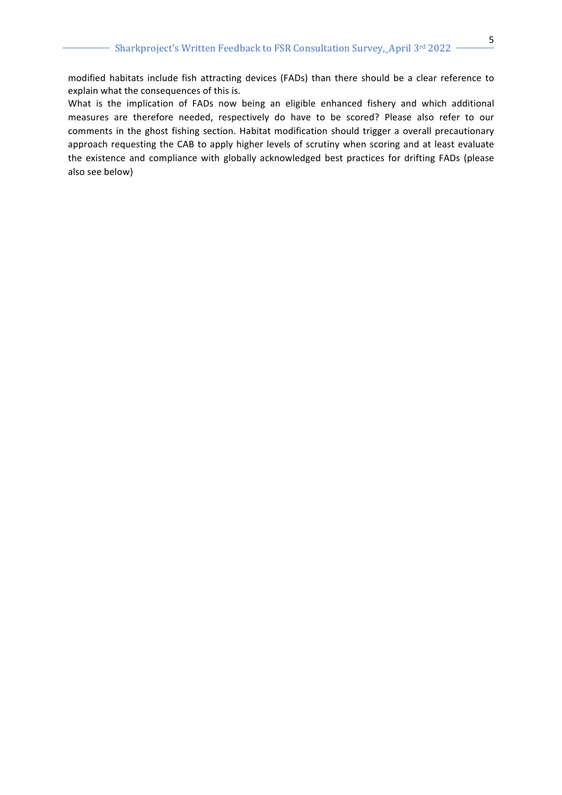modified habitats include fish attracting devices (FADs) than there should be a clear reference to explain what the consequences of this is.

What is the implication of FADs now being an eligible enhanced fishery and which additional measures are therefore needed, respectively do have to be scored? Please also refer to our comments in the ghost fishing section. Habitat modification should trigger a overall precautionary approach requesting the CAB to apply higher levels of scrutiny when scoring and at least evaluate the existence and compliance with globally acknowledged best practices for drifting FADs (please also see below)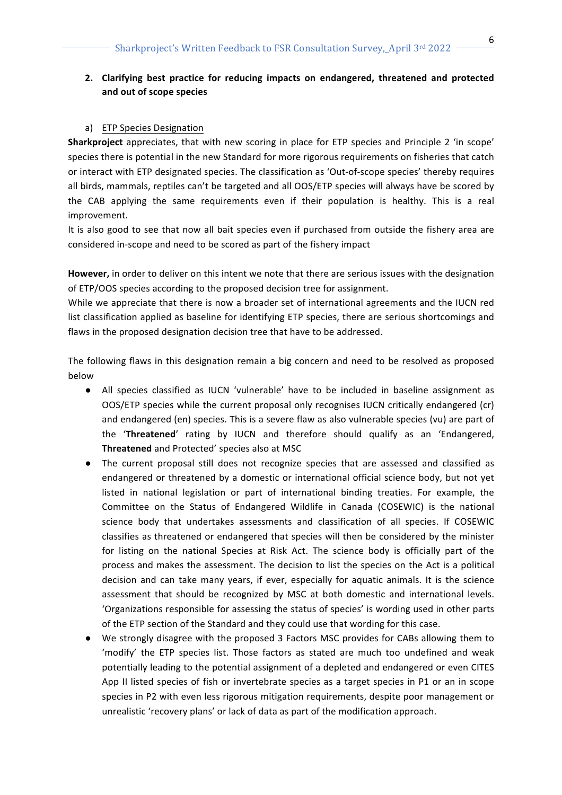## **2.** Clarifying best practice for reducing impacts on endangered, threatened and protected **and out of scope species**

#### a) ETP Species Designation

**Sharkproject** appreciates, that with new scoring in place for ETP species and Principle 2 'in scope' species there is potential in the new Standard for more rigorous requirements on fisheries that catch or interact with ETP designated species. The classification as 'Out-of-scope species' thereby requires all birds, mammals, reptiles can't be targeted and all OOS/ETP species will always have be scored by the CAB applying the same requirements even if their population is healthy. This is a real improvement.

It is also good to see that now all bait species even if purchased from outside the fishery area are considered in-scope and need to be scored as part of the fishery impact

However, in order to deliver on this intent we note that there are serious issues with the designation of ETP/OOS species according to the proposed decision tree for assignment.

While we appreciate that there is now a broader set of international agreements and the IUCN red list classification applied as baseline for identifying ETP species, there are serious shortcomings and flaws in the proposed designation decision tree that have to be addressed.

The following flaws in this designation remain a big concern and need to be resolved as proposed below

- All species classified as IUCN 'vulnerable' have to be included in baseline assignment as OOS/ETP species while the current proposal only recognises IUCN critically endangered (cr) and endangered (en) species. This is a severe flaw as also vulnerable species (vu) are part of the **'Threatened'** rating by IUCN and therefore should qualify as an 'Endangered, Threatened and Protected' species also at MSC
- The current proposal still does not recognize species that are assessed and classified as endangered or threatened by a domestic or international official science body, but not yet listed in national legislation or part of international binding treaties. For example, the Committee on the Status of Endangered Wildlife in Canada (COSEWIC) is the national science body that undertakes assessments and classification of all species. If COSEWIC classifies as threatened or endangered that species will then be considered by the minister for listing on the national Species at Risk Act. The science body is officially part of the process and makes the assessment. The decision to list the species on the Act is a political decision and can take many years, if ever, especially for aquatic animals. It is the science assessment that should be recognized by MSC at both domestic and international levels. 'Organizations responsible for assessing the status of species' is wording used in other parts of the ETP section of the Standard and they could use that wording for this case.
- We strongly disagree with the proposed 3 Factors MSC provides for CABs allowing them to 'modify' the ETP species list. Those factors as stated are much too undefined and weak potentially leading to the potential assignment of a depleted and endangered or even CITES App II listed species of fish or invertebrate species as a target species in P1 or an in scope species in P2 with even less rigorous mitigation requirements, despite poor management or unrealistic 'recovery plans' or lack of data as part of the modification approach.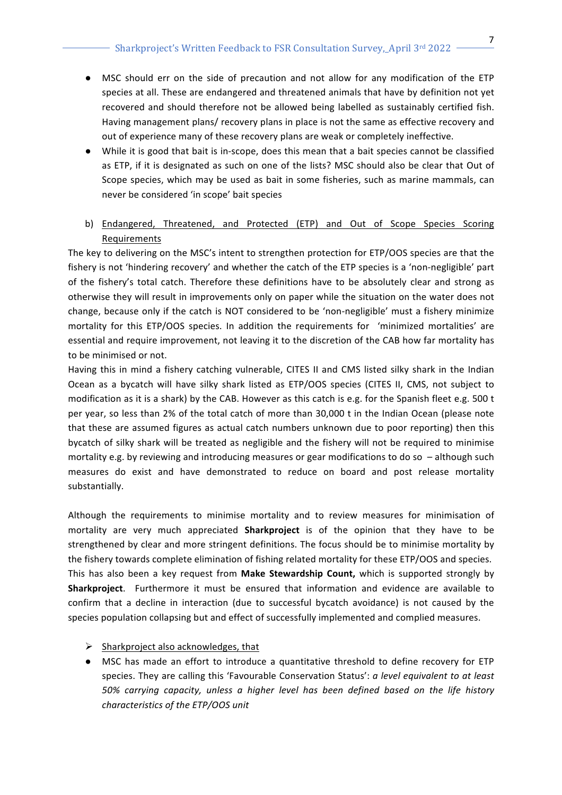- MSC should err on the side of precaution and not allow for any modification of the ETP species at all. These are endangered and threatened animals that have by definition not yet recovered and should therefore not be allowed being labelled as sustainably certified fish. Having management plans/ recovery plans in place is not the same as effective recovery and out of experience many of these recovery plans are weak or completely ineffective.
- While it is good that bait is in-scope, does this mean that a bait species cannot be classified as ETP, if it is designated as such on one of the lists? MSC should also be clear that Out of Scope species, which may be used as bait in some fisheries, such as marine mammals, can never be considered 'in scope' bait species
- b) Endangered, Threatened, and Protected (ETP) and Out of Scope Species Scoring Requirements

The key to delivering on the MSC's intent to strengthen protection for ETP/OOS species are that the fishery is not 'hindering recovery' and whether the catch of the ETP species is a 'non-negligible' part of the fishery's total catch. Therefore these definitions have to be absolutely clear and strong as otherwise they will result in improvements only on paper while the situation on the water does not change, because only if the catch is NOT considered to be 'non-negligible' must a fishery minimize mortality for this ETP/OOS species. In addition the requirements for 'minimized mortalities' are essential and require improvement, not leaving it to the discretion of the CAB how far mortality has to be minimised or not.

Having this in mind a fishery catching vulnerable, CITES II and CMS listed silky shark in the Indian Ocean as a bycatch will have silky shark listed as ETP/OOS species (CITES II, CMS, not subject to modification as it is a shark) by the CAB. However as this catch is e.g. for the Spanish fleet e.g. 500 t per year, so less than 2% of the total catch of more than 30,000 t in the Indian Ocean (please note that these are assumed figures as actual catch numbers unknown due to poor reporting) then this bycatch of silky shark will be treated as negligible and the fishery will not be required to minimise mortality e.g. by reviewing and introducing measures or gear modifications to do so  $-$  although such measures do exist and have demonstrated to reduce on board and post release mortality substantially.

Although the requirements to minimise mortality and to review measures for minimisation of mortality are very much appreciated **Sharkproject** is of the opinion that they have to be strengthened by clear and more stringent definitions. The focus should be to minimise mortality by the fishery towards complete elimination of fishing related mortality for these ETP/OOS and species. This has also been a key request from **Make Stewardship Count**, which is supported strongly by **Sharkproject**. Furthermore it must be ensured that information and evidence are available to confirm that a decline in interaction (due to successful bycatch avoidance) is not caused by the species population collapsing but and effect of successfully implemented and complied measures.

## $\triangleright$  Sharkproject also acknowledges, that

• MSC has made an effort to introduce a quantitative threshold to define recovery for ETP species. They are calling this 'Favourable Conservation Status': *a level equivalent to at least 50% carrying capacity, unless a higher level has been defined based on the life history characteristics of the ETP/OOS unit*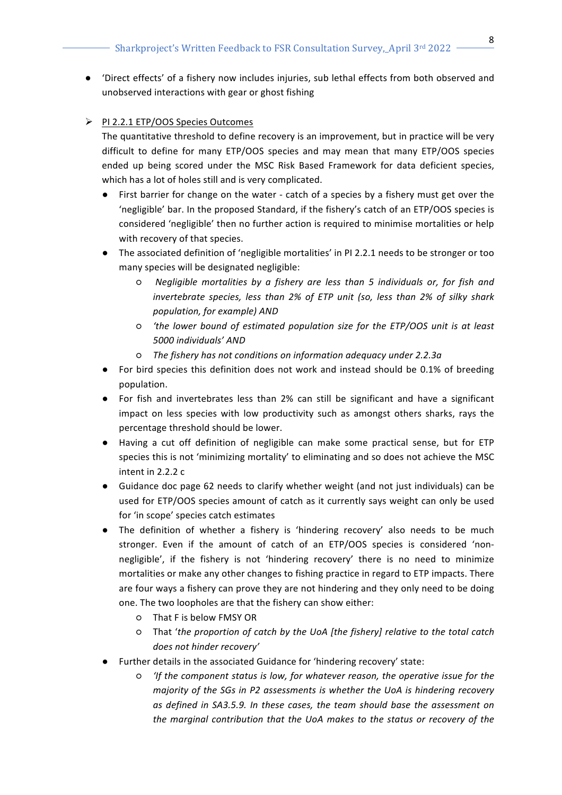- 'Direct effects' of a fishery now includes injuries, sub lethal effects from both observed and unobserved interactions with gear or ghost fishing
- > PI 2.2.1 ETP/OOS Species Outcomes

The quantitative threshold to define recovery is an improvement, but in practice will be very difficult to define for many ETP/OOS species and may mean that many ETP/OOS species ended up being scored under the MSC Risk Based Framework for data deficient species, which has a lot of holes still and is very complicated.

- First barrier for change on the water catch of a species by a fishery must get over the 'negligible' bar. In the proposed Standard, if the fishery's catch of an ETP/OOS species is considered 'negligible' then no further action is required to minimise mortalities or help with recovery of that species.
- The associated definition of 'negligible mortalities' in PI 2.2.1 needs to be stronger or too many species will be designated negligible:
	- $\circ$  *Negligible mortalities by a fishery are less than 5 individuals or, for fish and* invertebrate species, less than 2% of ETP unit (so, less than 2% of silky shark *population, for example)* AND
	- $\circ$  *'the lower bound of estimated population size for the ETP/OOS unit is at least 5000 individuals' AND*
	- o The fishery has not conditions on information adequacy under 2.2.3a
- For bird species this definition does not work and instead should be 0.1% of breeding population.
- For fish and invertebrates less than 2% can still be significant and have a significant impact on less species with low productivity such as amongst others sharks, rays the percentage threshold should be lower.
- Having a cut off definition of negligible can make some practical sense, but for ETP species this is not 'minimizing mortality' to eliminating and so does not achieve the MSC intent in  $2.2.2 c$
- Guidance doc page 62 needs to clarify whether weight (and not just individuals) can be used for ETP/OOS species amount of catch as it currently says weight can only be used for 'in scope' species catch estimates
- The definition of whether a fishery is 'hindering recovery' also needs to be much stronger. Even if the amount of catch of an ETP/OOS species is considered 'nonnegligible', if the fishery is not 'hindering recovery' there is no need to minimize mortalities or make any other changes to fishing practice in regard to ETP impacts. There are four ways a fishery can prove they are not hindering and they only need to be doing one. The two loopholes are that the fishery can show either:
	- That F is below FMSY OR
	- $\circ$  That 'the proportion of catch by the UoA [the fishery] relative to the total catch *does not hinder recovery'*
- Further details in the associated Guidance for 'hindering recovery' state:
	- $\circ$  'If the component status is low, for whatever reason, the operative issue for the *majority* of the SGs in P2 assessments is whether the UoA is hindering recovery as defined in SA3.5.9. In these cases, the team should base the assessment on the marginal contribution that the UoA makes to the status or recovery of the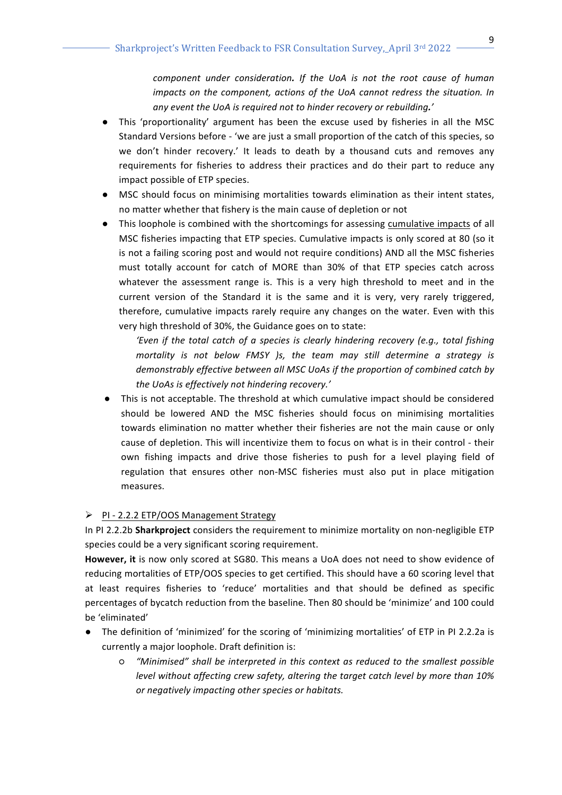*component under consideration. If the UoA is not the root cause of human impacts* on the component, actions of the UoA cannot redress the situation. In *any event the UoA is required not to hinder recovery or rebuilding.'*

- This 'proportionality' argument has been the excuse used by fisheries in all the MSC Standard Versions before - 'we are just a small proportion of the catch of this species, so we don't hinder recovery.' It leads to death by a thousand cuts and removes any requirements for fisheries to address their practices and do their part to reduce any impact possible of ETP species.
- MSC should focus on minimising mortalities towards elimination as their intent states, no matter whether that fishery is the main cause of depletion or not
- This loophole is combined with the shortcomings for assessing cumulative impacts of all MSC fisheries impacting that ETP species. Cumulative impacts is only scored at 80 (so it is not a failing scoring post and would not require conditions) AND all the MSC fisheries must totally account for catch of MORE than 30% of that ETP species catch across whatever the assessment range is. This is a very high threshold to meet and in the current version of the Standard it is the same and it is very, very rarely triggered, therefore, cumulative impacts rarely require any changes on the water. Even with this very high threshold of 30%, the Guidance goes on to state:

'Even if the total catch of a species is clearly hindering recovery (e.g., total fishing *mortality* is not below FMSY )s, the team may still determine a strategy is demonstrably effective between all MSC UoAs if the proportion of combined catch by the UoAs is effectively not hindering recovery.'

• This is not acceptable. The threshold at which cumulative impact should be considered should be lowered AND the MSC fisheries should focus on minimising mortalities towards elimination no matter whether their fisheries are not the main cause or only cause of depletion. This will incentivize them to focus on what is in their control - their own fishing impacts and drive those fisheries to push for a level playing field of regulation that ensures other non-MSC fisheries must also put in place mitigation measures. 

## $\triangleright$  PI - 2.2.2 ETP/OOS Management Strategy

In PI 2.2.2b Sharkproject considers the requirement to minimize mortality on non-negligible ETP species could be a very significant scoring requirement.

**However, it** is now only scored at SG80. This means a UoA does not need to show evidence of reducing mortalities of ETP/OOS species to get certified. This should have a 60 scoring level that at least requires fisheries to 'reduce' mortalities and that should be defined as specific percentages of bycatch reduction from the baseline. Then 80 should be 'minimize' and 100 could be 'eliminated'

- The definition of 'minimized' for the scoring of 'minimizing mortalities' of ETP in PI 2.2.2a is currently a major loophole. Draft definition is:
	- $\circ$  "Minimised" shall be interpreted in this context as reduced to the smallest possible *level without affecting crew safety, altering the target catch level by more than 10% or negatively impacting other species or habitats.*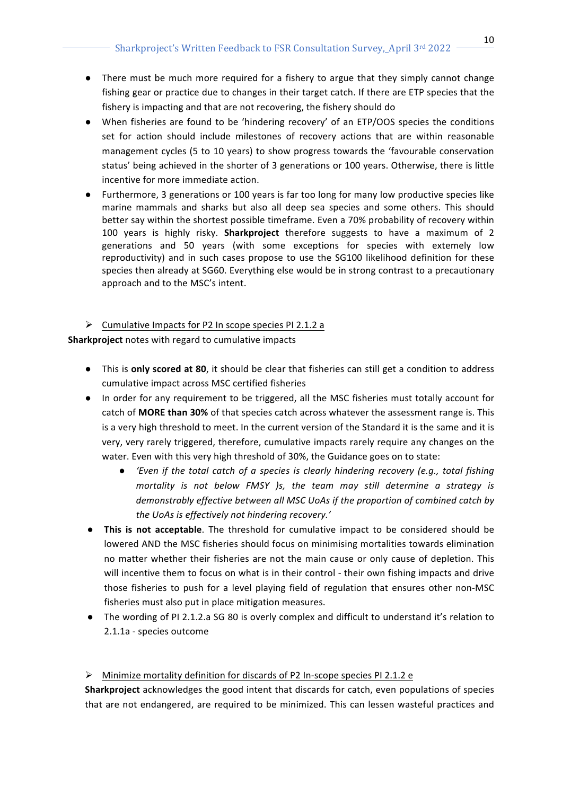- There must be much more required for a fishery to argue that they simply cannot change fishing gear or practice due to changes in their target catch. If there are ETP species that the fishery is impacting and that are not recovering, the fishery should do
- When fisheries are found to be 'hindering recovery' of an ETP/OOS species the conditions set for action should include milestones of recovery actions that are within reasonable management cycles (5 to 10 years) to show progress towards the 'favourable conservation status' being achieved in the shorter of 3 generations or 100 years. Otherwise, there is little incentive for more immediate action.
- Furthermore, 3 generations or 100 years is far too long for many low productive species like marine mammals and sharks but also all deep sea species and some others. This should better say within the shortest possible timeframe. Even a 70% probability of recovery within 100 years is highly risky. Sharkproject therefore suggests to have a maximum of 2 generations and 50 years (with some exceptions for species with extemely low reproductivity) and in such cases propose to use the SG100 likelihood definition for these species then already at SG60. Everything else would be in strong contrast to a precautionary approach and to the MSC's intent.
- $\triangleright$  Cumulative Impacts for P2 In scope species PI 2.1.2 a

**Sharkproject** notes with regard to cumulative impacts

- **.** This is only scored at 80, it should be clear that fisheries can still get a condition to address cumulative impact across MSC certified fisheries
- In order for any requirement to be triggered, all the MSC fisheries must totally account for catch of **MORE than 30%** of that species catch across whatever the assessment range is. This is a very high threshold to meet. In the current version of the Standard it is the same and it is very, very rarely triggered, therefore, cumulative impacts rarely require any changes on the water. Even with this very high threshold of 30%, the Guidance goes on to state:
	- 'Even if the total catch of a species is clearly hindering recovery (e.g., total fishing *mortality* is not below FMSY )s, the team may still determine a strategy is demonstrably effective between all MSC UoAs if the proportion of combined catch by the UoAs is effectively not hindering recovery.'
- **•** This is not acceptable. The threshold for cumulative impact to be considered should be lowered AND the MSC fisheries should focus on minimising mortalities towards elimination no matter whether their fisheries are not the main cause or only cause of depletion. This will incentive them to focus on what is in their control - their own fishing impacts and drive those fisheries to push for a level playing field of regulation that ensures other non-MSC fisheries must also put in place mitigation measures.
- The wording of PI 2.1.2.a SG 80 is overly complex and difficult to understand it's relation to 2.1.1a - species outcome

# $\triangleright$  Minimize mortality definition for discards of P2 In-scope species PI 2.1.2 e

**Sharkproject** acknowledges the good intent that discards for catch, even populations of species that are not endangered, are required to be minimized. This can lessen wasteful practices and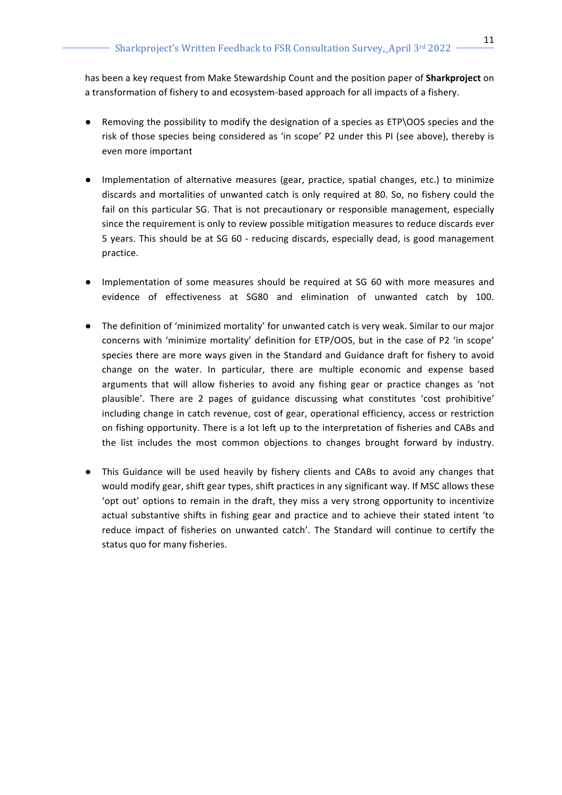has been a key request from Make Stewardship Count and the position paper of **Sharkproject** on a transformation of fishery to and ecosystem-based approach for all impacts of a fishery.

- Removing the possibility to modify the designation of a species as ETP\OOS species and the risk of those species being considered as 'in scope' P2 under this PI (see above), thereby is even more important
- Implementation of alternative measures (gear, practice, spatial changes, etc.) to minimize discards and mortalities of unwanted catch is only required at 80. So, no fishery could the fail on this particular SG. That is not precautionary or responsible management, especially since the requirement is only to review possible mitigation measures to reduce discards ever 5 years. This should be at SG 60 - reducing discards, especially dead, is good management practice.
- Implementation of some measures should be required at SG 60 with more measures and evidence of effectiveness at SG80 and elimination of unwanted catch by 100.
- The definition of 'minimized mortality' for unwanted catch is very weak. Similar to our major concerns with 'minimize mortality' definition for ETP/OOS, but in the case of P2 'in scope' species there are more ways given in the Standard and Guidance draft for fishery to avoid change on the water. In particular, there are multiple economic and expense based arguments that will allow fisheries to avoid any fishing gear or practice changes as 'not plausible'. There are 2 pages of guidance discussing what constitutes 'cost prohibitive' including change in catch revenue, cost of gear, operational efficiency, access or restriction on fishing opportunity. There is a lot left up to the interpretation of fisheries and CABs and the list includes the most common objections to changes brought forward by industry.
- This Guidance will be used heavily by fishery clients and CABs to avoid any changes that would modify gear, shift gear types, shift practices in any significant way. If MSC allows these 'opt out' options to remain in the draft, they miss a very strong opportunity to incentivize actual substantive shifts in fishing gear and practice and to achieve their stated intent 'to reduce impact of fisheries on unwanted catch'. The Standard will continue to certify the status quo for many fisheries.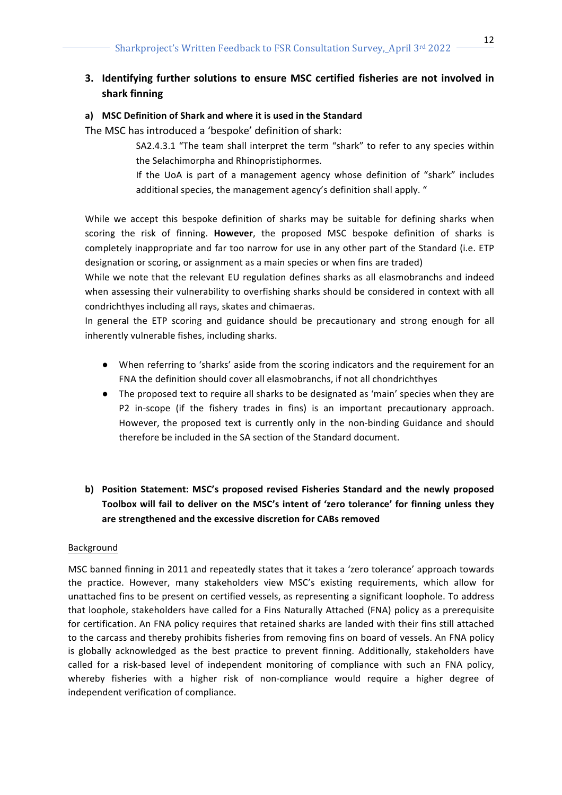# **3.** Identifying further solutions to ensure MSC certified fisheries are not involved in **shark finning**

## a) MSC Definition of Shark and where it is used in the Standard

The MSC has introduced a 'bespoke' definition of shark:

SA2.4.3.1 "The team shall interpret the term "shark" to refer to any species within the Selachimorpha and Rhinopristiphormes.

If the UoA is part of a management agency whose definition of "shark" includes additional species, the management agency's definition shall apply. "

While we accept this bespoke definition of sharks may be suitable for defining sharks when scoring the risk of finning. However, the proposed MSC bespoke definition of sharks is completely inappropriate and far too narrow for use in any other part of the Standard (i.e. ETP designation or scoring, or assignment as a main species or when fins are traded)

While we note that the relevant EU regulation defines sharks as all elasmobranchs and indeed when assessing their vulnerability to overfishing sharks should be considered in context with all condrichthyes including all rays, skates and chimaeras.

In general the ETP scoring and guidance should be precautionary and strong enough for all inherently vulnerable fishes, including sharks.

- When referring to 'sharks' aside from the scoring indicators and the requirement for an FNA the definition should cover all elasmobranchs, if not all chondrichthyes
- The proposed text to require all sharks to be designated as 'main' species when they are P2 in-scope (if the fishery trades in fins) is an important precautionary approach. However, the proposed text is currently only in the non-binding Guidance and should therefore be included in the SA section of the Standard document.
- **b)** Position Statement: MSC's proposed revised Fisheries Standard and the newly proposed Toolbox will fail to deliver on the MSC's intent of 'zero tolerance' for finning unless they are strengthened and the excessive discretion for CABs removed

## Background

MSC banned finning in 2011 and repeatedly states that it takes a 'zero tolerance' approach towards the practice. However, many stakeholders view MSC's existing requirements, which allow for unattached fins to be present on certified vessels, as representing a significant loophole. To address that loophole, stakeholders have called for a Fins Naturally Attached (FNA) policy as a prerequisite for certification. An FNA policy requires that retained sharks are landed with their fins still attached to the carcass and thereby prohibits fisheries from removing fins on board of vessels. An FNA policy is globally acknowledged as the best practice to prevent finning. Additionally, stakeholders have called for a risk-based level of independent monitoring of compliance with such an FNA policy, whereby fisheries with a higher risk of non-compliance would require a higher degree of independent verification of compliance.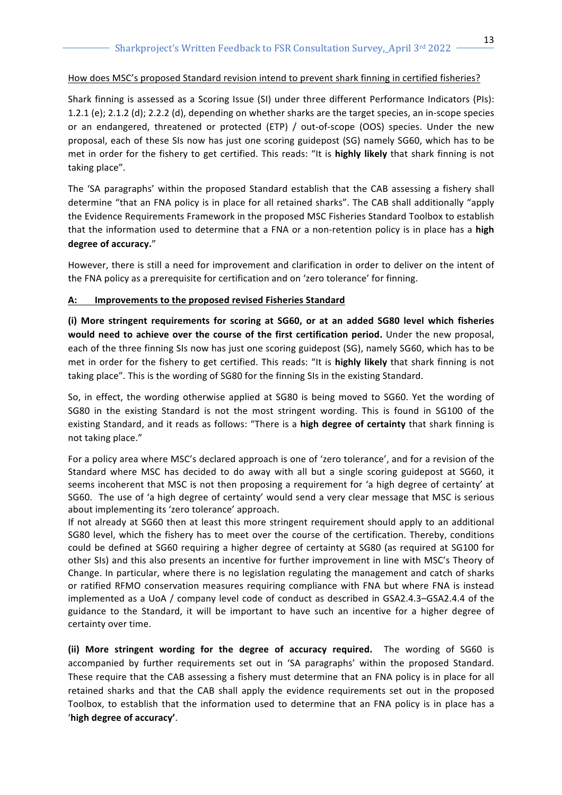## How does MSC's proposed Standard revision intend to prevent shark finning in certified fisheries?

Shark finning is assessed as a Scoring Issue (SI) under three different Performance Indicators (PIs): 1.2.1 (e); 2.1.2 (d); 2.2.2 (d), depending on whether sharks are the target species, an in-scope species or an endangered, threatened or protected (ETP) / out-of-scope (OOS) species. Under the new proposal, each of these SIs now has just one scoring guidepost (SG) namely SG60, which has to be met in order for the fishery to get certified. This reads: "It is **highly likely** that shark finning is not taking place".

The 'SA paragraphs' within the proposed Standard establish that the CAB assessing a fishery shall determine "that an FNA policy is in place for all retained sharks". The CAB shall additionally "apply the Evidence Requirements Framework in the proposed MSC Fisheries Standard Toolbox to establish that the information used to determine that a FNA or a non-retention policy is in place has a **high** degree of accuracy."

However, there is still a need for improvement and clarification in order to deliver on the intent of the FNA policy as a prerequisite for certification and on 'zero tolerance' for finning.

## A: Improvements to the proposed revised Fisheries Standard

**(i) More stringent requirements for scoring at SG60, or at an added SG80 level which fisheries**  would need to achieve over the course of the first certification period. Under the new proposal, each of the three finning SIs now has just one scoring guidepost (SG), namely SG60, which has to be met in order for the fishery to get certified. This reads: "It is **highly likely** that shark finning is not taking place". This is the wording of SG80 for the finning SIs in the existing Standard.

So, in effect, the wording otherwise applied at SG80 is being moved to SG60. Yet the wording of SG80 in the existing Standard is not the most stringent wording. This is found in SG100 of the existing Standard, and it reads as follows: "There is a high degree of certainty that shark finning is not taking place."

For a policy area where MSC's declared approach is one of 'zero tolerance', and for a revision of the Standard where MSC has decided to do away with all but a single scoring guidepost at SG60, it seems incoherent that MSC is not then proposing a requirement for 'a high degree of certainty' at SG60. The use of 'a high degree of certainty' would send a very clear message that MSC is serious about implementing its 'zero tolerance' approach.

If not already at SG60 then at least this more stringent requirement should apply to an additional SG80 level, which the fishery has to meet over the course of the certification. Thereby, conditions could be defined at SG60 requiring a higher degree of certainty at SG80 (as required at SG100 for other SIs) and this also presents an incentive for further improvement in line with MSC's Theory of Change. In particular, where there is no legislation regulating the management and catch of sharks or ratified RFMO conservation measures requiring compliance with FNA but where FNA is instead implemented as a UoA / company level code of conduct as described in GSA2.4.3–GSA2.4.4 of the guidance to the Standard, it will be important to have such an incentive for a higher degree of certainty over time.

**(ii)** More stringent wording for the degree of accuracy required. The wording of SG60 is accompanied by further requirements set out in 'SA paragraphs' within the proposed Standard. These require that the CAB assessing a fishery must determine that an FNA policy is in place for all retained sharks and that the CAB shall apply the evidence requirements set out in the proposed Toolbox, to establish that the information used to determine that an FNA policy is in place has a '**high degree of accuracy'**.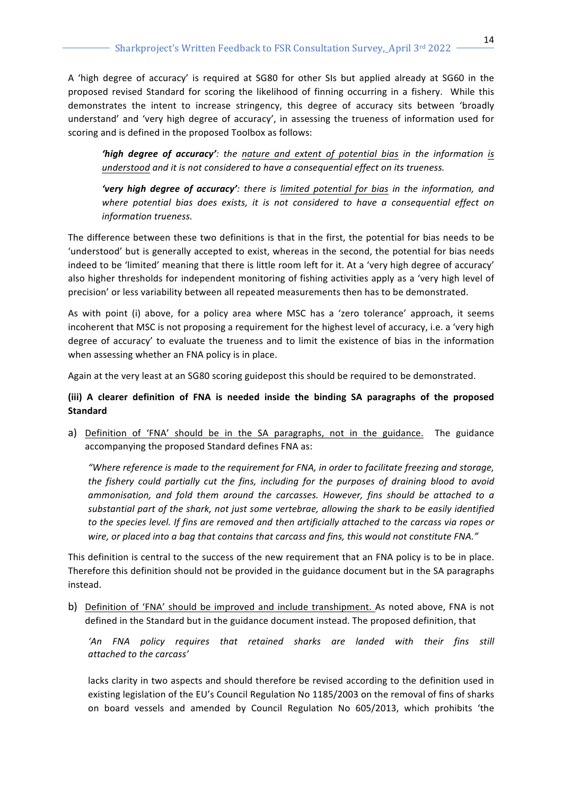A 'high degree of accuracy' is required at SG80 for other SIs but applied already at SG60 in the proposed revised Standard for scoring the likelihood of finning occurring in a fishery. While this demonstrates the intent to increase stringency, this degree of accuracy sits between 'broadly understand' and 'very high degree of accuracy', in assessing the trueness of information used for scoring and is defined in the proposed Toolbox as follows:

*'high degree of accuracy'*: *the nature and extent of potential bias in the information is understood and it is not considered to have a consequential effect on its trueness.* 

**'very high degree of accuracy'**: there is limited potential for bias in the information, and where potential bias does exists, it is not considered to have a consequential effect on *information trueness.*

The difference between these two definitions is that in the first, the potential for bias needs to be 'understood' but is generally accepted to exist, whereas in the second, the potential for bias needs indeed to be 'limited' meaning that there is little room left for it. At a 'very high degree of accuracy' also higher thresholds for independent monitoring of fishing activities apply as a 'very high level of precision' or less variability between all repeated measurements then has to be demonstrated.

As with point (i) above, for a policy area where MSC has a 'zero tolerance' approach, it seems incoherent that MSC is not proposing a requirement for the highest level of accuracy, i.e. a 'very high degree of accuracy' to evaluate the trueness and to limit the existence of bias in the information when assessing whether an FNA policy is in place.

Again at the very least at an SG80 scoring guidepost this should be required to be demonstrated.

## **(iii) A clearer definition of FNA is needed inside the binding SA paragraphs of the proposed Standard**

a) Definition of 'FNA' should be in the SA paragraphs, not in the guidance. The guidance accompanying the proposed Standard defines FNA as:

*"Where reference is made to the requirement for FNA, in order to facilitate freezing and storage, the fishery could partially cut the fins, including for the purposes of draining blood to avoid* ammonisation, and fold them around the carcasses. However, fins should be attached to a substantial part of the shark, not just some vertebrae, allowing the shark to be easily identified to the species level. If fins are removed and then artificially attached to the carcass via ropes or wire, or placed into a bag that contains that carcass and fins, this would not constitute FNA."

This definition is central to the success of the new requirement that an FNA policy is to be in place. Therefore this definition should not be provided in the guidance document but in the SA paragraphs instead.

b) Definition of 'FNA' should be improved and include transhipment. As noted above, FNA is not defined in the Standard but in the guidance document instead. The proposed definition, that

*'An FNA policy requires that retained sharks are landed with their fins still attached to the carcass'* 

lacks clarity in two aspects and should therefore be revised according to the definition used in existing legislation of the EU's Council Regulation No 1185/2003 on the removal of fins of sharks on board vessels and amended by Council Regulation No 605/2013, which prohibits 'the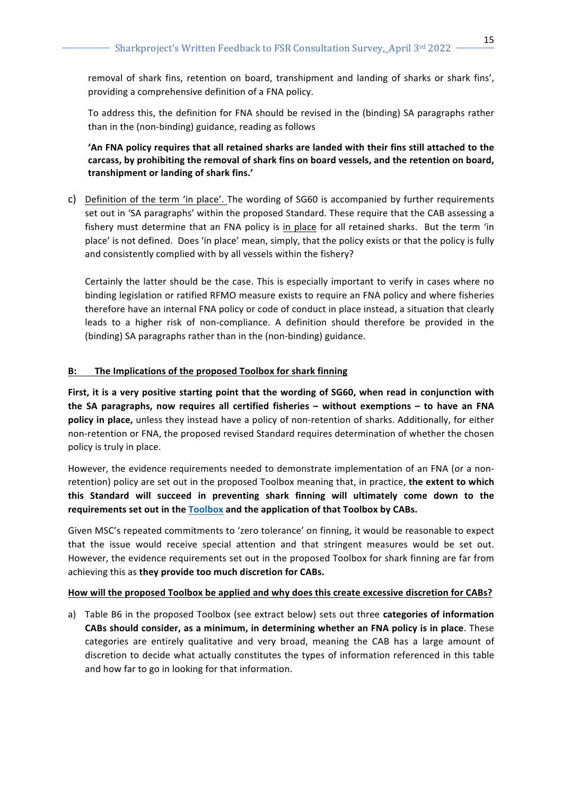removal of shark fins, retention on board, transhipment and landing of sharks or shark fins', providing a comprehensive definition of a FNA policy.

To address this, the definition for FNA should be revised in the (binding) SA paragraphs rather than in the (non-binding) guidance, reading as follows

# 'An FNA policy requires that all retained sharks are landed with their fins still attached to the carcass, by prohibiting the removal of shark fins on board vessels, and the retention on board, **transhipment or landing of shark fins.'**

c) Definition of the term 'in place'. The wording of SG60 is accompanied by further requirements set out in 'SA paragraphs' within the proposed Standard. These require that the CAB assessing a fishery must determine that an FNA policy is in place for all retained sharks. But the term 'in place' is not defined. Does 'in place' mean, simply, that the policy exists or that the policy is fully and consistently complied with by all vessels within the fishery?

Certainly the latter should be the case. This is especially important to verify in cases where no binding legislation or ratified RFMO measure exists to require an FNA policy and where fisheries therefore have an internal FNA policy or code of conduct in place instead, a situation that clearly leads to a higher risk of non-compliance. A definition should therefore be provided in the (binding) SA paragraphs rather than in the (non-binding) guidance.

# **B:** The Implications of the proposed Toolbox for shark finning

First, it is a very positive starting point that the wording of SG60, when read in conjunction with **the SA paragraphs, now requires all certified fisheries – without exemptions – to have an FNA policy** in place, unless they instead have a policy of non-retention of sharks. Additionally, for either non-retention or FNA, the proposed revised Standard requires determination of whether the chosen policy is truly in place.

However, the evidence requirements needed to demonstrate implementation of an FNA (or a nonretention) policy are set out in the proposed Toolbox meaning that, in practice, the extent to which this Standard will succeed in preventing shark finning will ultimately come down to the **requirements set out in the Toolbox and the application of that Toolbox by CABs.** 

Given MSC's repeated commitments to 'zero tolerance' on finning, it would be reasonable to expect that the issue would receive special attention and that stringent measures would be set out. However, the evidence requirements set out in the proposed Toolbox for shark finning are far from achieving this as they provide too much discretion for CABs.

## How will the proposed Toolbox be applied and why does this create excessive discretion for CABs?

a) Table B6 in the proposed Toolbox (see extract below) sets out three categories of information **CABs should consider, as a minimum, in determining whether an FNA policy is in place.** These categories are entirely qualitative and very broad, meaning the CAB has a large amount of discretion to decide what actually constitutes the types of information referenced in this table and how far to go in looking for that information.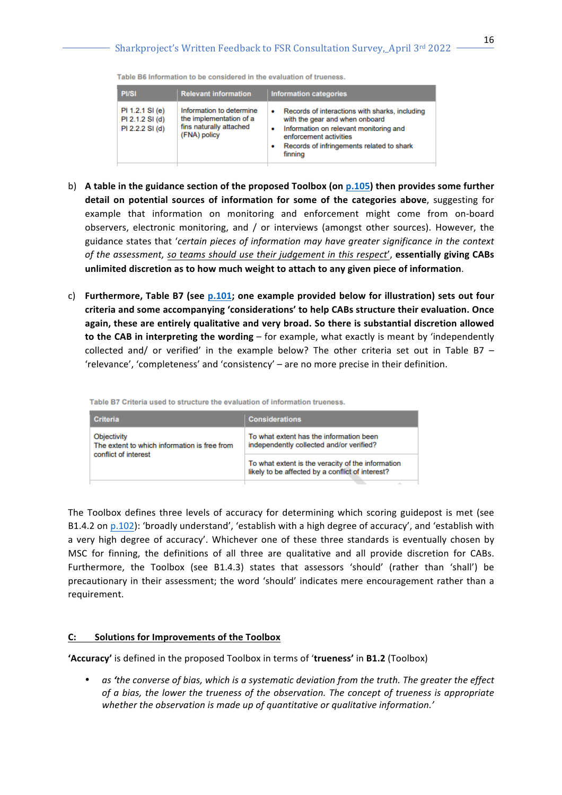Table B6 Information to be considered in the evaluation of trueness.

| <b>PI/SI</b>                                          | <b>Relevant information</b>                                                                    | <b>Information categories</b>                                                                                                                                                                                          |
|-------------------------------------------------------|------------------------------------------------------------------------------------------------|------------------------------------------------------------------------------------------------------------------------------------------------------------------------------------------------------------------------|
| PI 1.2.1 SI (e)<br>PI 2.1.2 SI (d)<br>PI 2.2.2 SI (d) | Information to determine<br>the implementation of a<br>fins naturally attached<br>(FNA) policy | Records of interactions with sharks, including<br>٠<br>with the gear and when onboard<br>Information on relevant monitoring and<br>٠<br>enforcement activities<br>Records of infringements related to shark<br>finning |

- b) A table in the guidance section of the proposed Toolbox (on p.105) then provides some further detail on potential sources of information for some of the categories above, suggesting for example that information on monitoring and enforcement might come from on-board observers, electronic monitoring, and / or interviews (amongst other sources). However, the guidance states that 'certain pieces of information may have greater significance in the context *of the assessment, so teams should use their judgement in this respect', essentially giving CABs* unlimited discretion as to how much weight to attach to any given piece of information.
- c) Furthermore, Table B7 (see p.101; one example provided below for illustration) sets out four criteria and some accompanying 'considerations' to help CABs structure their evaluation. Once again, these are entirely qualitative and very broad. So there is substantial discretion allowed **to the CAB in interpreting the wording** – for example, what exactly is meant by 'independently collected and/ or verified' in the example below? The other criteria set out in Table B7 – 'relevance', 'completeness' and 'consistency' - are no more precise in their definition.

| <b>Criteria</b>                                             | <b>Considerations</b>                                                                                 |  |
|-------------------------------------------------------------|-------------------------------------------------------------------------------------------------------|--|
| Objectivity<br>The extent to which information is free from | To what extent has the information been<br>independently collected and/or verified?                   |  |
| conflict of interest                                        | To what extent is the veracity of the information<br>likely to be affected by a conflict of interest? |  |

Table B7 Criteria used to structure the evaluation of information trueness.

The Toolbox defines three levels of accuracy for determining which scoring guidepost is met (see B1.4.2 on p.102): 'broadly understand', 'establish with a high degree of accuracy', and 'establish with a very high degree of accuracy'. Whichever one of these three standards is eventually chosen by MSC for finning, the definitions of all three are qualitative and all provide discretion for CABs. Furthermore, the Toolbox (see B1.4.3) states that assessors 'should' (rather than 'shall') be precautionary in their assessment; the word 'should' indicates mere encouragement rather than a requirement.

#### C: Solutions for Improvements of the Toolbox

'Accuracy' is defined in the proposed Toolbox in terms of 'trueness' in B1.2 (Toolbox)

• as 'the converse of bias, which is a systematic deviation from the truth. The greater the effect *of a bias, the lower the trueness of the observation. The concept of trueness is appropriate* whether the observation is made up of quantitative or qualitative information.'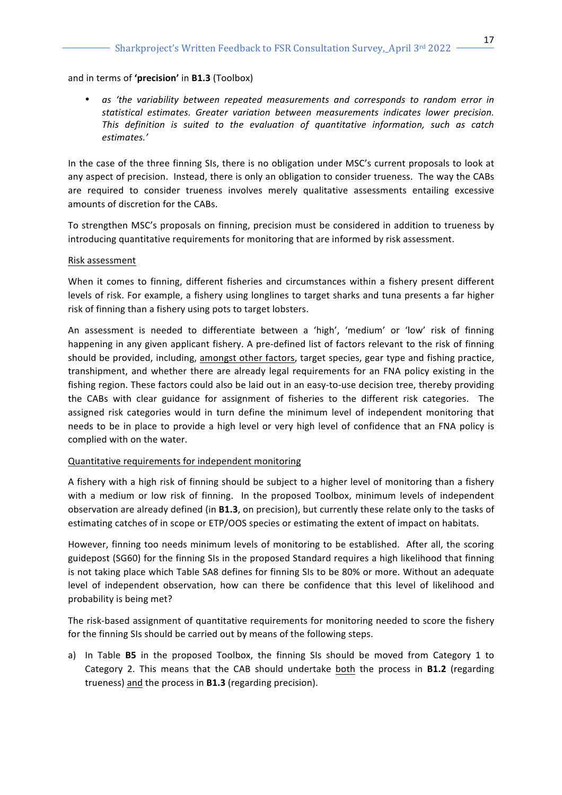#### and in terms of 'precision' in **B1.3** (Toolbox)

as 'the variability between repeated measurements and corresponds to random error in statistical estimates. Greater variation between measurements indicates lower precision. This definition is suited to the evaluation of quantitative information, such as catch *estimates.'*

In the case of the three finning SIs, there is no obligation under MSC's current proposals to look at any aspect of precision. Instead, there is only an obligation to consider trueness. The way the CABs are required to consider trueness involves merely qualitative assessments entailing excessive amounts of discretion for the CABs.

To strengthen MSC's proposals on finning, precision must be considered in addition to trueness by introducing quantitative requirements for monitoring that are informed by risk assessment.

#### Risk assessment

When it comes to finning, different fisheries and circumstances within a fishery present different levels of risk. For example, a fishery using longlines to target sharks and tuna presents a far higher risk of finning than a fishery using pots to target lobsters.

An assessment is needed to differentiate between a 'high', 'medium' or 'low' risk of finning happening in any given applicant fishery. A pre-defined list of factors relevant to the risk of finning should be provided, including, amongst other factors, target species, gear type and fishing practice, transhipment, and whether there are already legal requirements for an FNA policy existing in the fishing region. These factors could also be laid out in an easy-to-use decision tree, thereby providing the CABs with clear guidance for assignment of fisheries to the different risk categories. The assigned risk categories would in turn define the minimum level of independent monitoring that needs to be in place to provide a high level or very high level of confidence that an FNA policy is complied with on the water.

## Quantitative requirements for independent monitoring

A fishery with a high risk of finning should be subject to a higher level of monitoring than a fishery with a medium or low risk of finning. In the proposed Toolbox, minimum levels of independent observation are already defined (in **B1.3**, on precision), but currently these relate only to the tasks of estimating catches of in scope or ETP/OOS species or estimating the extent of impact on habitats.

However, finning too needs minimum levels of monitoring to be established. After all, the scoring guidepost (SG60) for the finning SIs in the proposed Standard requires a high likelihood that finning is not taking place which Table SA8 defines for finning SIs to be 80% or more. Without an adequate level of independent observation, how can there be confidence that this level of likelihood and probability is being met?

The risk-based assignment of quantitative requirements for monitoring needed to score the fishery for the finning SIs should be carried out by means of the following steps.

a) In Table **B5** in the proposed Toolbox, the finning SIs should be moved from Category 1 to Category 2. This means that the CAB should undertake both the process in **B1.2** (regarding trueness) and the process in **B1.3** (regarding precision).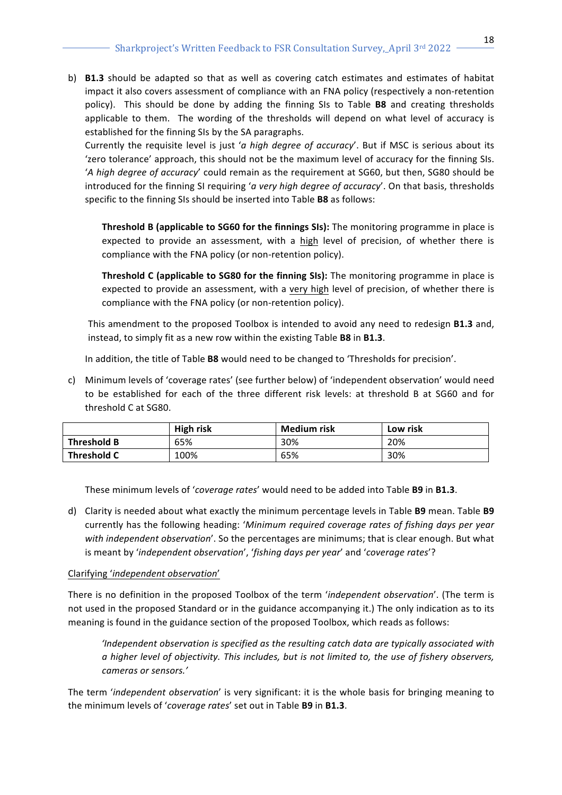b) **B1.3** should be adapted so that as well as covering catch estimates and estimates of habitat impact it also covers assessment of compliance with an FNA policy (respectively a non-retention policy). This should be done by adding the finning SIs to Table **B8** and creating thresholds applicable to them. The wording of the thresholds will depend on what level of accuracy is established for the finning SIs by the SA paragraphs.

Currently the requisite level is just 'a high degree of accuracy'. But if MSC is serious about its 'zero tolerance' approach, this should not be the maximum level of accuracy for the finning SIs. '*A* high degree of accuracy' could remain as the requirement at SG60, but then, SG80 should be introduced for the finning SI requiring '*a* very high degree of accuracy'. On that basis, thresholds specific to the finning SIs should be inserted into Table **B8** as follows:

**Threshold B (applicable to SG60 for the finnings SIs):** The monitoring programme in place is expected to provide an assessment, with a high level of precision, of whether there is compliance with the FNA policy (or non-retention policy).

**Threshold C (applicable to SG80 for the finning SIs):** The monitoring programme in place is expected to provide an assessment, with a very high level of precision, of whether there is compliance with the FNA policy (or non-retention policy).

This amendment to the proposed Toolbox is intended to avoid any need to redesign **B1.3** and, instead, to simply fit as a new row within the existing Table **B8** in **B1.3**.

In addition, the title of Table **B8** would need to be changed to 'Thresholds for precision'.

c) Minimum levels of 'coverage rates' (see further below) of 'independent observation' would need to be established for each of the three different risk levels: at threshold B at SG60 and for threshold C at SG80.

|                    | <b>High risk</b> | <b>Medium risk</b> | Low risk |
|--------------------|------------------|--------------------|----------|
| Threshold B        | 65%              | 30%                | 20%      |
| <b>Threshold C</b> | 100%             | 65%                | 30%      |

These minimum levels of 'coverage rates' would need to be added into Table B9 in B1.3.

d) Clarity is needed about what exactly the minimum percentage levels in Table **B9** mean. Table **B9** currently has the following heading: 'Minimum required coverage rates of fishing days per year with independent observation'. So the percentages are minimums; that is clear enough. But what is meant by 'independent observation', 'fishing days per year' and 'coverage rates'?

# Clarifying '*independent observation*'

There is no definition in the proposed Toolbox of the term 'independent observation'. (The term is not used in the proposed Standard or in the guidance accompanying it.) The only indication as to its meaning is found in the guidance section of the proposed Toolbox, which reads as follows:

*'Independent observation is specified as the resulting catch data are typically associated with a* higher level of objectivity. This includes, but is not limited to, the use of fishery observers, *cameras or sensors.'*

The term '*independent observation'* is very significant: it is the whole basis for bringing meaning to the minimum levels of 'coverage rates' set out in Table B9 in B1.3.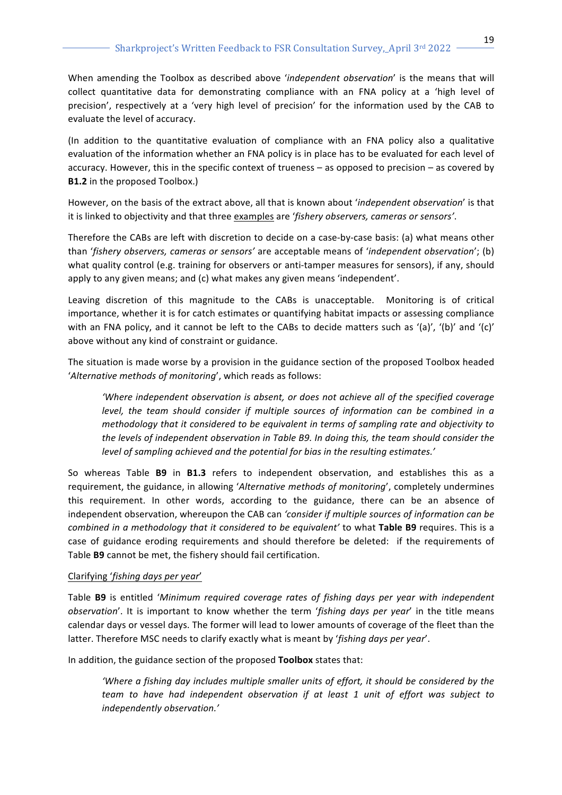When amending the Toolbox as described above 'independent observation' is the means that will collect quantitative data for demonstrating compliance with an FNA policy at a 'high level of precision', respectively at a 'very high level of precision' for the information used by the CAB to evaluate the level of accuracy.

(In addition to the quantitative evaluation of compliance with an FNA policy also a qualitative evaluation of the information whether an FNA policy is in place has to be evaluated for each level of accuracy. However, this in the specific context of trueness – as opposed to precision – as covered by **B1.2** in the proposed Toolbox.)

However, on the basis of the extract above, all that is known about 'independent observation' is that it is linked to objectivity and that three examples are '*fishery observers, cameras or sensors'*.

Therefore the CABs are left with discretion to decide on a case-by-case basis: (a) what means other than '*fishery observers, cameras or sensors'* are acceptable means of '*independent observation'*; (b) what quality control (e.g. training for observers or anti-tamper measures for sensors), if any, should apply to any given means; and (c) what makes any given means 'independent'.

Leaving discretion of this magnitude to the CABs is unacceptable. Monitoring is of critical importance, whether it is for catch estimates or quantifying habitat impacts or assessing compliance with an FNA policy, and it cannot be left to the CABs to decide matters such as '(a)', '(b)' and '(c)' above without any kind of constraint or guidance.

The situation is made worse by a provision in the guidance section of the proposed Toolbox headed 'Alternative methods of monitoring', which reads as follows:

'Where independent observation is absent, or does not achieve all of the specified coverage *level, the team should consider if multiple sources of information can be combined in a methodology* that it considered to be equivalent in terms of sampling rate and objectivity to the levels of independent observation in Table B9. In doing this, the team should consider the level of sampling achieved and the potential for bias in the resulting estimates.'

So whereas Table **B9** in **B1.3** refers to independent observation, and establishes this as a requirement, the guidance, in allowing '*Alternative methods of monitoring'*, completely undermines this requirement. In other words, according to the guidance, there can be an absence of independent observation, whereupon the CAB can *'consider if multiple sources of information can be combined in a methodology that it considered to be equivalent'* to what Table B9 requires. This is a case of guidance eroding requirements and should therefore be deleted: if the requirements of Table **B9** cannot be met, the fishery should fail certification.

#### Clarifying '*fishing days per year*'

Table **B9** is entitled '*Minimum required coverage rates of fishing days per year with independent observation'*. It is important to know whether the term 'fishing days per year' in the title means calendar days or vessel days. The former will lead to lower amounts of coverage of the fleet than the latter. Therefore MSC needs to clarify exactly what is meant by 'fishing days per year'.

In addition, the guidance section of the proposed **Toolbox** states that:

'Where a fishing day includes multiple smaller units of effort, it should be considered by the *team* to have had independent observation if at least 1 unit of effort was subject to *independently observation.'*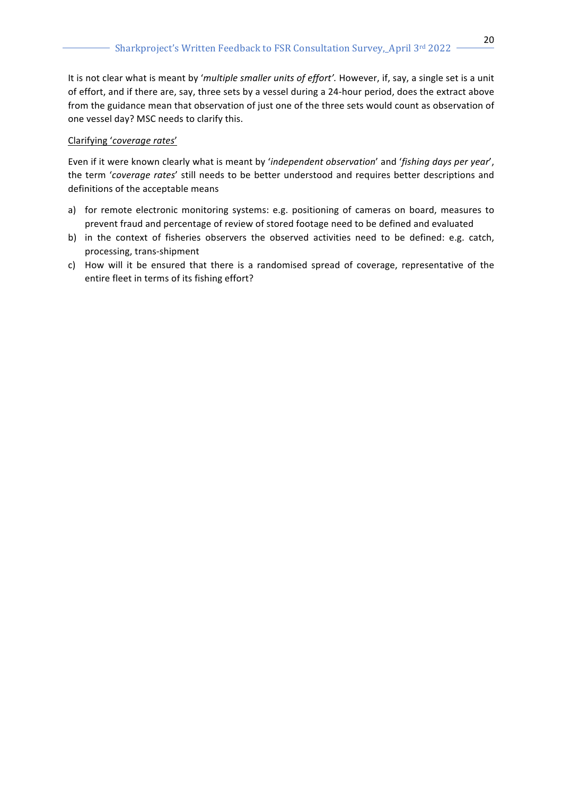It is not clear what is meant by 'multiple smaller units of effort'. However, if, say, a single set is a unit of effort, and if there are, say, three sets by a vessel during a 24-hour period, does the extract above from the guidance mean that observation of just one of the three sets would count as observation of one vessel day? MSC needs to clarify this.

## Clarifying '*coverage rates*'

Even if it were known clearly what is meant by 'independent observation' and 'fishing days per year', the term 'coverage rates' still needs to be better understood and requires better descriptions and definitions of the acceptable means

- a) for remote electronic monitoring systems: e.g. positioning of cameras on board, measures to prevent fraud and percentage of review of stored footage need to be defined and evaluated
- b) in the context of fisheries observers the observed activities need to be defined: e.g. catch, processing, trans-shipment
- c) How will it be ensured that there is a randomised spread of coverage, representative of the entire fleet in terms of its fishing effort?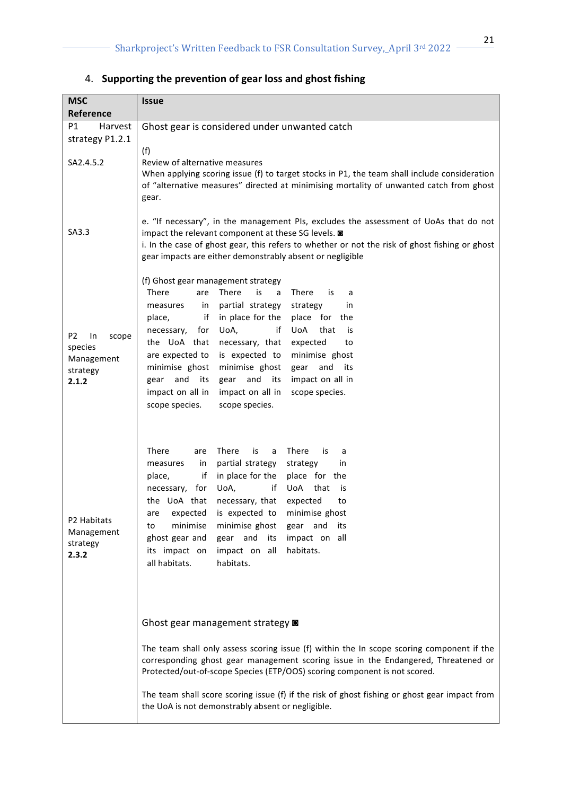| <b>MSC</b>                    | <b>Issue</b>                                                                                                                                                                            |  |  |  |
|-------------------------------|-----------------------------------------------------------------------------------------------------------------------------------------------------------------------------------------|--|--|--|
| Reference                     |                                                                                                                                                                                         |  |  |  |
| P1<br>Harvest                 | Ghost gear is considered under unwanted catch                                                                                                                                           |  |  |  |
| strategy P1.2.1               |                                                                                                                                                                                         |  |  |  |
|                               | (f)                                                                                                                                                                                     |  |  |  |
| SA2.4.5.2                     | Review of alternative measures                                                                                                                                                          |  |  |  |
|                               | When applying scoring issue (f) to target stocks in P1, the team shall include consideration<br>of "alternative measures" directed at minimising mortality of unwanted catch from ghost |  |  |  |
|                               | gear.                                                                                                                                                                                   |  |  |  |
|                               |                                                                                                                                                                                         |  |  |  |
|                               | e. "If necessary", in the management PIs, excludes the assessment of UoAs that do not                                                                                                   |  |  |  |
| SA3.3                         | impact the relevant component at these SG levels. $\blacksquare$<br>i. In the case of ghost gear, this refers to whether or not the risk of ghost fishing or ghost                      |  |  |  |
|                               | gear impacts are either demonstrably absent or negligible                                                                                                                               |  |  |  |
|                               |                                                                                                                                                                                         |  |  |  |
|                               | (f) Ghost gear management strategy                                                                                                                                                      |  |  |  |
|                               | <b>There</b><br>There<br>There<br>are<br>is<br>a<br>is<br>a                                                                                                                             |  |  |  |
|                               | partial strategy<br>strategy<br>in<br>measures<br>in<br>if<br>in place for the<br>place for the<br>place,                                                                               |  |  |  |
|                               | UoA,<br>if<br>UoA<br>that<br>necessary,<br>for<br>is                                                                                                                                    |  |  |  |
| P <sub>2</sub><br>In<br>scope | the UoA that<br>necessary, that<br>expected<br>to                                                                                                                                       |  |  |  |
| species<br>Management         | are expected to<br>is expected to<br>minimise ghost                                                                                                                                     |  |  |  |
| strategy                      | minimise ghost<br>minimise ghost<br>and its<br>gear                                                                                                                                     |  |  |  |
| 2.1.2                         | gear and<br>gear and its<br>impact on all in<br>its                                                                                                                                     |  |  |  |
|                               | impact on all in<br>impact on all in<br>scope species.                                                                                                                                  |  |  |  |
|                               | scope species.<br>scope species.                                                                                                                                                        |  |  |  |
|                               |                                                                                                                                                                                         |  |  |  |
|                               |                                                                                                                                                                                         |  |  |  |
|                               | There<br>There<br>is<br>There<br>is<br>are<br>a<br>a<br>partial strategy<br>measures<br>in<br>strategy                                                                                  |  |  |  |
|                               | in<br>in place for the<br>place for the<br>if<br>place,                                                                                                                                 |  |  |  |
|                               | UoA,<br>UoA<br>necessary, for<br>if<br>that<br>is                                                                                                                                       |  |  |  |
|                               | the UoA that<br>necessary, that<br>expected<br>to                                                                                                                                       |  |  |  |
| P2 Habitats                   | expected is expected to minimise ghost<br>are                                                                                                                                           |  |  |  |
| Management                    | minimise<br>minimise ghost<br>gear and<br>its<br>to                                                                                                                                     |  |  |  |
| strategy                      | ghost gear and<br>gear and<br>impact on all<br>its<br>its impact on<br>impact on all<br>habitats.                                                                                       |  |  |  |
| 2.3.2                         | habitats.<br>all habitats.                                                                                                                                                              |  |  |  |
|                               |                                                                                                                                                                                         |  |  |  |
|                               |                                                                                                                                                                                         |  |  |  |
|                               |                                                                                                                                                                                         |  |  |  |
|                               | Ghost gear management strategy @                                                                                                                                                        |  |  |  |
|                               |                                                                                                                                                                                         |  |  |  |
|                               | The team shall only assess scoring issue (f) within the In scope scoring component if the                                                                                               |  |  |  |
|                               | corresponding ghost gear management scoring issue in the Endangered, Threatened or<br>Protected/out-of-scope Species (ETP/OOS) scoring component is not scored.                         |  |  |  |
|                               | The team shall score scoring issue (f) if the risk of ghost fishing or ghost gear impact from<br>the UoA is not demonstrably absent or negligible.                                      |  |  |  |
|                               |                                                                                                                                                                                         |  |  |  |

# 4. Supporting the prevention of gear loss and ghost fishing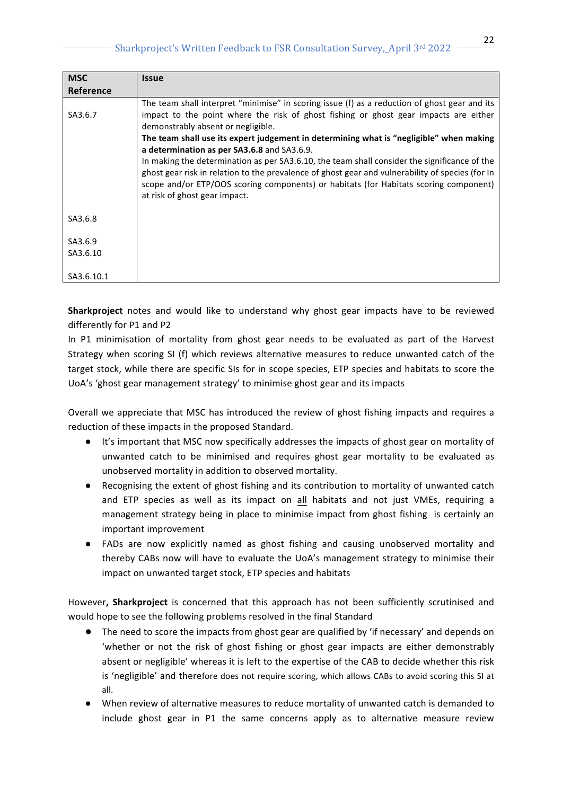# Sharkproject's Written Feedback to FSR Consultation Survey, April 3rd 2022 -

| <b>MSC</b>       | <b>Issue</b>                                                                                                                                                                                                                                                                                                                                                                                                                                                                                                                                                                                                                                                       |
|------------------|--------------------------------------------------------------------------------------------------------------------------------------------------------------------------------------------------------------------------------------------------------------------------------------------------------------------------------------------------------------------------------------------------------------------------------------------------------------------------------------------------------------------------------------------------------------------------------------------------------------------------------------------------------------------|
| <b>Reference</b> |                                                                                                                                                                                                                                                                                                                                                                                                                                                                                                                                                                                                                                                                    |
| SA3.6.7          | The team shall interpret "minimise" in scoring issue (f) as a reduction of ghost gear and its<br>impact to the point where the risk of ghost fishing or ghost gear impacts are either<br>demonstrably absent or negligible.<br>The team shall use its expert judgement in determining what is "negligible" when making<br>a determination as per SA3.6.8 and SA3.6.9.<br>In making the determination as per SA3.6.10, the team shall consider the significance of the<br>ghost gear risk in relation to the prevalence of ghost gear and vulnerability of species (for In<br>scope and/or ETP/OOS scoring components) or habitats (for Habitats scoring component) |
|                  | at risk of ghost gear impact.                                                                                                                                                                                                                                                                                                                                                                                                                                                                                                                                                                                                                                      |
| SA3.6.8          |                                                                                                                                                                                                                                                                                                                                                                                                                                                                                                                                                                                                                                                                    |
| SA3.6.9          |                                                                                                                                                                                                                                                                                                                                                                                                                                                                                                                                                                                                                                                                    |
| SA3.6.10         |                                                                                                                                                                                                                                                                                                                                                                                                                                                                                                                                                                                                                                                                    |
| SA3.6.10.1       |                                                                                                                                                                                                                                                                                                                                                                                                                                                                                                                                                                                                                                                                    |

**Sharkproject** notes and would like to understand why ghost gear impacts have to be reviewed differently for P1 and P2

In P1 minimisation of mortality from ghost gear needs to be evaluated as part of the Harvest Strategy when scoring SI (f) which reviews alternative measures to reduce unwanted catch of the target stock, while there are specific SIs for in scope species, ETP species and habitats to score the UoA's 'ghost gear management strategy' to minimise ghost gear and its impacts

Overall we appreciate that MSC has introduced the review of ghost fishing impacts and requires a reduction of these impacts in the proposed Standard.

- It's important that MSC now specifically addresses the impacts of ghost gear on mortality of unwanted catch to be minimised and requires ghost gear mortality to be evaluated as unobserved mortality in addition to observed mortality.
- Recognising the extent of ghost fishing and its contribution to mortality of unwanted catch and ETP species as well as its impact on all habitats and not just VMEs, requiring a management strategy being in place to minimise impact from ghost fishing is certainly an important improvement
- FADs are now explicitly named as ghost fishing and causing unobserved mortality and thereby CABs now will have to evaluate the UoA's management strategy to minimise their impact on unwanted target stock, ETP species and habitats

However, Sharkproject is concerned that this approach has not been sufficiently scrutinised and would hope to see the following problems resolved in the final Standard

- The need to score the impacts from ghost gear are qualified by 'if necessary' and depends on 'whether or not the risk of ghost fishing or ghost gear impacts are either demonstrably absent or negligible' whereas it is left to the expertise of the CAB to decide whether this risk is 'negligible' and therefore does not require scoring, which allows CABs to avoid scoring this SI at all.
- When review of alternative measures to reduce mortality of unwanted catch is demanded to include ghost gear in P1 the same concerns apply as to alternative measure review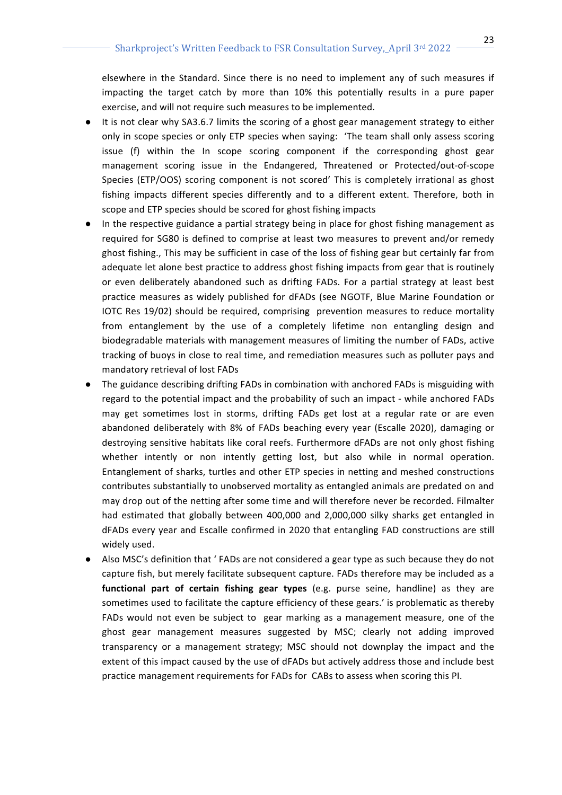elsewhere in the Standard. Since there is no need to implement any of such measures if impacting the target catch by more than 10% this potentially results in a pure paper exercise, and will not require such measures to be implemented.

- It is not clear why SA3.6.7 limits the scoring of a ghost gear management strategy to either only in scope species or only ETP species when saying: 'The team shall only assess scoring issue (f) within the In scope scoring component if the corresponding ghost gear management scoring issue in the Endangered, Threatened or Protected/out-of-scope Species (ETP/OOS) scoring component is not scored' This is completely irrational as ghost fishing impacts different species differently and to a different extent. Therefore, both in scope and ETP species should be scored for ghost fishing impacts
- In the respective guidance a partial strategy being in place for ghost fishing management as required for SG80 is defined to comprise at least two measures to prevent and/or remedy ghost fishing., This may be sufficient in case of the loss of fishing gear but certainly far from adequate let alone best practice to address ghost fishing impacts from gear that is routinely or even deliberately abandoned such as drifting FADs. For a partial strategy at least best practice measures as widely published for dFADs (see NGOTF, Blue Marine Foundation or IOTC Res 19/02) should be required, comprising prevention measures to reduce mortality from entanglement by the use of a completely lifetime non entangling design and biodegradable materials with management measures of limiting the number of FADs, active tracking of buoys in close to real time, and remediation measures such as polluter pays and mandatory retrieval of lost FADs
- The guidance describing drifting FADs in combination with anchored FADs is misguiding with regard to the potential impact and the probability of such an impact - while anchored FADs may get sometimes lost in storms, drifting FADs get lost at a regular rate or are even abandoned deliberately with 8% of FADs beaching every year (Escalle 2020), damaging or destroying sensitive habitats like coral reefs. Furthermore dFADs are not only ghost fishing whether intently or non intently getting lost, but also while in normal operation. Entanglement of sharks, turtles and other ETP species in netting and meshed constructions contributes substantially to unobserved mortality as entangled animals are predated on and may drop out of the netting after some time and will therefore never be recorded. Filmalter had estimated that globally between 400,000 and 2,000,000 silky sharks get entangled in dFADs every year and Escalle confirmed in 2020 that entangling FAD constructions are still widely used.
- Also MSC's definition that ' FADs are not considered a gear type as such because they do not capture fish, but merely facilitate subsequent capture. FADs therefore may be included as a **functional part of certain fishing gear types** (e.g. purse seine, handline) as they are sometimes used to facilitate the capture efficiency of these gears.' is problematic as thereby FADs would not even be subject to gear marking as a management measure, one of the ghost gear management measures suggested by MSC; clearly not adding improved transparency or a management strategy; MSC should not downplay the impact and the extent of this impact caused by the use of dFADs but actively address those and include best practice management requirements for FADs for CABs to assess when scoring this PI.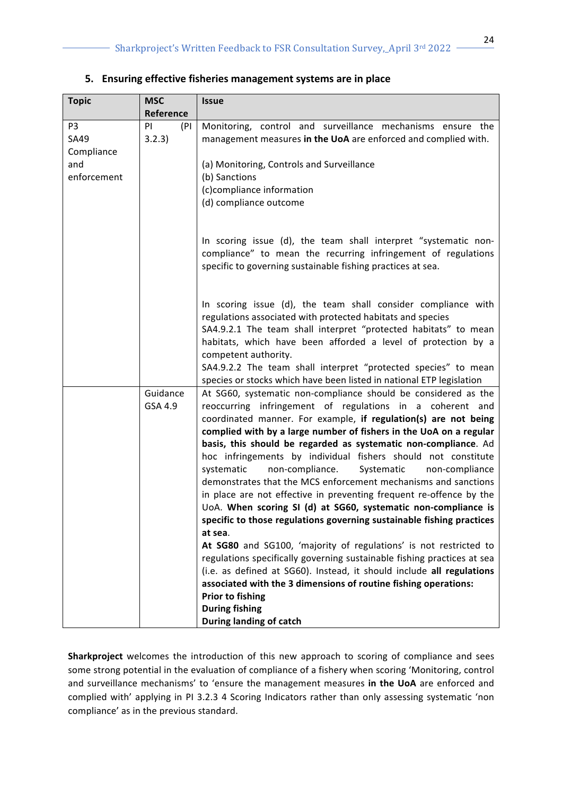| <b>Topic</b>                                                      | <b>MSC</b>           | <b>Issue</b>                                                                                                                                                                                                                                                                                                                                                                                                                                                                                                                                                                                                                                                                                                                                                                                                                                                                                                                                                                                                                                                                                                                                        |  |  |
|-------------------------------------------------------------------|----------------------|-----------------------------------------------------------------------------------------------------------------------------------------------------------------------------------------------------------------------------------------------------------------------------------------------------------------------------------------------------------------------------------------------------------------------------------------------------------------------------------------------------------------------------------------------------------------------------------------------------------------------------------------------------------------------------------------------------------------------------------------------------------------------------------------------------------------------------------------------------------------------------------------------------------------------------------------------------------------------------------------------------------------------------------------------------------------------------------------------------------------------------------------------------|--|--|
|                                                                   | <b>Reference</b>     |                                                                                                                                                                                                                                                                                                                                                                                                                                                                                                                                                                                                                                                                                                                                                                                                                                                                                                                                                                                                                                                                                                                                                     |  |  |
| P <sub>3</sub><br><b>SA49</b><br>Compliance<br>and<br>enforcement | PI<br>(PI)<br>3.2.3) | Monitoring, control and surveillance mechanisms ensure the<br>management measures in the UoA are enforced and complied with.<br>(a) Monitoring, Controls and Surveillance<br>(b) Sanctions<br>(c)compliance information<br>(d) compliance outcome                                                                                                                                                                                                                                                                                                                                                                                                                                                                                                                                                                                                                                                                                                                                                                                                                                                                                                   |  |  |
|                                                                   |                      | In scoring issue (d), the team shall interpret "systematic non-<br>compliance" to mean the recurring infringement of regulations<br>specific to governing sustainable fishing practices at sea.                                                                                                                                                                                                                                                                                                                                                                                                                                                                                                                                                                                                                                                                                                                                                                                                                                                                                                                                                     |  |  |
|                                                                   |                      | In scoring issue (d), the team shall consider compliance with<br>regulations associated with protected habitats and species<br>SA4.9.2.1 The team shall interpret "protected habitats" to mean<br>habitats, which have been afforded a level of protection by a<br>competent authority.<br>SA4.9.2.2 The team shall interpret "protected species" to mean<br>species or stocks which have been listed in national ETP legislation                                                                                                                                                                                                                                                                                                                                                                                                                                                                                                                                                                                                                                                                                                                   |  |  |
|                                                                   | Guidance<br>GSA 4.9  | At SG60, systematic non-compliance should be considered as the<br>reoccurring infringement of regulations in a coherent and<br>coordinated manner. For example, if regulation(s) are not being<br>complied with by a large number of fishers in the UoA on a regular<br>basis, this should be regarded as systematic non-compliance. Ad<br>hoc infringements by individual fishers should not constitute<br>systematic<br>non-compliance.<br>Systematic<br>non-compliance<br>demonstrates that the MCS enforcement mechanisms and sanctions<br>in place are not effective in preventing frequent re-offence by the<br>UoA. When scoring SI (d) at SG60, systematic non-compliance is<br>specific to those regulations governing sustainable fishing practices<br>at sea.<br>At SG80 and SG100, 'majority of regulations' is not restricted to<br>regulations specifically governing sustainable fishing practices at sea<br>(i.e. as defined at SG60). Instead, it should include all regulations<br>associated with the 3 dimensions of routine fishing operations:<br><b>Prior to fishing</b><br><b>During fishing</b><br>During landing of catch |  |  |

## **5.** Ensuring effective fisheries management systems are in place

**Sharkproject** welcomes the introduction of this new approach to scoring of compliance and sees some strong potential in the evaluation of compliance of a fishery when scoring 'Monitoring, control and surveillance mechanisms' to 'ensure the management measures in the UoA are enforced and complied with' applying in PI 3.2.3 4 Scoring Indicators rather than only assessing systematic 'non compliance' as in the previous standard.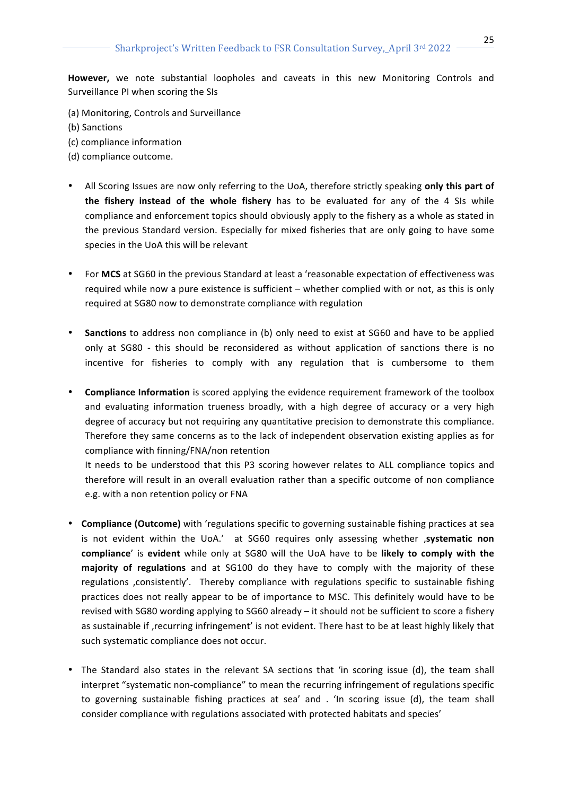However, we note substantial loopholes and caveats in this new Monitoring Controls and Surveillance PI when scoring the SIs

- (a) Monitoring, Controls and Surveillance
- (b) Sanctions
- (c) compliance information
- (d) compliance outcome.
- All Scoring Issues are now only referring to the UoA, therefore strictly speaking only this part of **the fishery instead of the whole fishery** has to be evaluated for any of the 4 SIs while compliance and enforcement topics should obviously apply to the fishery as a whole as stated in the previous Standard version. Especially for mixed fisheries that are only going to have some species in the UoA this will be relevant
- For MCS at SG60 in the previous Standard at least a 'reasonable expectation of effectiveness was required while now a pure existence is sufficient – whether complied with or not, as this is only required at SG80 now to demonstrate compliance with regulation
- **Sanctions** to address non compliance in (b) only need to exist at SG60 and have to be applied only at SG80 - this should be reconsidered as without application of sanctions there is no incentive for fisheries to comply with any regulation that is cumbersome to them
- **Compliance Information** is scored applying the evidence requirement framework of the toolbox and evaluating information trueness broadly, with a high degree of accuracy or a very high degree of accuracy but not requiring any quantitative precision to demonstrate this compliance. Therefore they same concerns as to the lack of independent observation existing applies as for compliance with finning/FNA/non retention

It needs to be understood that this P3 scoring however relates to ALL compliance topics and therefore will result in an overall evaluation rather than a specific outcome of non compliance e.g. with a non retention policy or FNA

- Compliance (Outcome) with 'regulations specific to governing sustainable fishing practices at sea is not evident within the UoA.' at SG60 requires only assessing whether , systematic non **compliance**' is **evident** while only at SG80 will the UoA have to be likely to comply with the majority of regulations and at SG100 do they have to comply with the majority of these regulations , consistently'. Thereby compliance with regulations specific to sustainable fishing practices does not really appear to be of importance to MSC. This definitely would have to be revised with SG80 wording applying to SG60 already  $-$  it should not be sufficient to score a fishery as sustainable if , recurring infringement' is not evident. There hast to be at least highly likely that such systematic compliance does not occur.
- The Standard also states in the relevant SA sections that 'in scoring issue (d), the team shall interpret "systematic non-compliance" to mean the recurring infringement of regulations specific to governing sustainable fishing practices at sea' and . 'In scoring issue (d), the team shall consider compliance with regulations associated with protected habitats and species'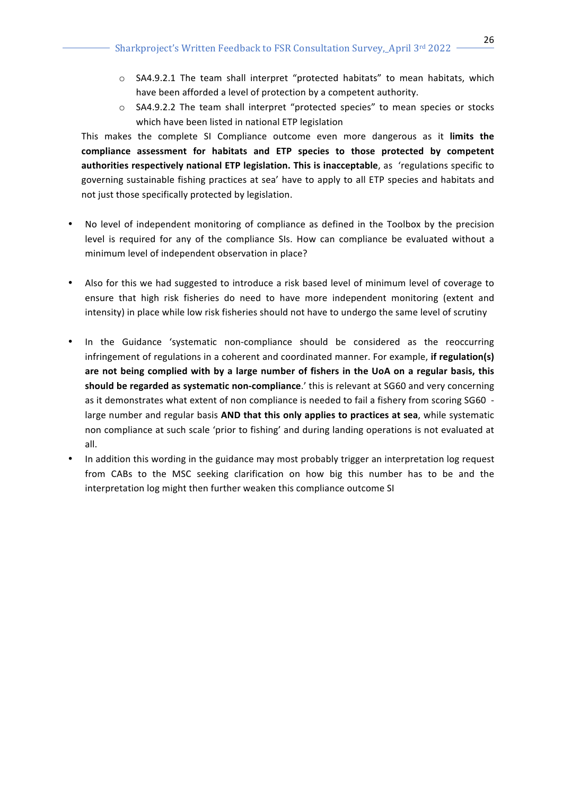- $\circ$  SA4.9.2.1 The team shall interpret "protected habitats" to mean habitats, which have been afforded a level of protection by a competent authority.
- $\circ$  SA4.9.2.2 The team shall interpret "protected species" to mean species or stocks which have been listed in national ETP legislation

This makes the complete SI Compliance outcome even more dangerous as it **limits the** compliance assessment for habitats and ETP species to those protected by competent authorities respectively national ETP legislation. This is inacceptable, as 'regulations specific to governing sustainable fishing practices at sea' have to apply to all ETP species and habitats and not just those specifically protected by legislation.

- No level of independent monitoring of compliance as defined in the Toolbox by the precision level is required for any of the compliance SIs. How can compliance be evaluated without a minimum level of independent observation in place?
- Also for this we had suggested to introduce a risk based level of minimum level of coverage to ensure that high risk fisheries do need to have more independent monitoring (extent and intensity) in place while low risk fisheries should not have to undergo the same level of scrutiny
- In the Guidance 'systematic non-compliance should be considered as the reoccurring infringement of regulations in a coherent and coordinated manner. For example, if regulation(s) are not being complied with by a large number of fishers in the UoA on a regular basis, this **should be regarded as systematic non-compliance**.' this is relevant at SG60 and very concerning as it demonstrates what extent of non compliance is needed to fail a fishery from scoring SG60 large number and regular basis AND that this only applies to practices at sea, while systematic non compliance at such scale 'prior to fishing' and during landing operations is not evaluated at all.
- In addition this wording in the guidance may most probably trigger an interpretation log request from CABs to the MSC seeking clarification on how big this number has to be and the interpretation log might then further weaken this compliance outcome SI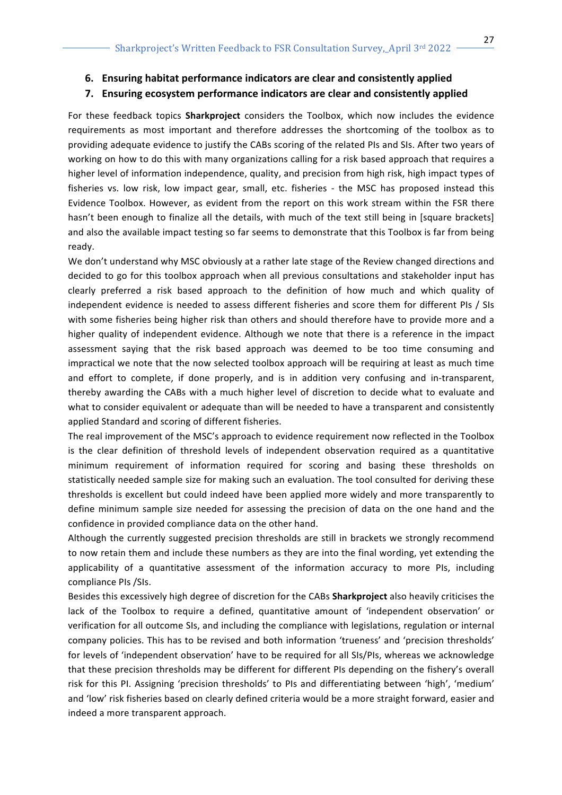**6. Ensuring habitat performance indicators are clear and consistently applied**

#### **7.** Ensuring ecosystem performance indicators are clear and consistently applied

For these feedback topics **Sharkproject** considers the Toolbox, which now includes the evidence requirements as most important and therefore addresses the shortcoming of the toolbox as to providing adequate evidence to justify the CABs scoring of the related PIs and SIs. After two years of working on how to do this with many organizations calling for a risk based approach that requires a higher level of information independence, quality, and precision from high risk, high impact types of fisheries vs. low risk, low impact gear, small, etc. fisheries - the MSC has proposed instead this Evidence Toolbox. However, as evident from the report on this work stream within the FSR there hasn't been enough to finalize all the details, with much of the text still being in [square brackets] and also the available impact testing so far seems to demonstrate that this Toolbox is far from being ready. 

We don't understand why MSC obviously at a rather late stage of the Review changed directions and decided to go for this toolbox approach when all previous consultations and stakeholder input has clearly preferred a risk based approach to the definition of how much and which quality of independent evidence is needed to assess different fisheries and score them for different PIs / SIs with some fisheries being higher risk than others and should therefore have to provide more and a higher quality of independent evidence. Although we note that there is a reference in the impact assessment saying that the risk based approach was deemed to be too time consuming and impractical we note that the now selected toolbox approach will be requiring at least as much time and effort to complete, if done properly, and is in addition very confusing and in-transparent, thereby awarding the CABs with a much higher level of discretion to decide what to evaluate and what to consider equivalent or adequate than will be needed to have a transparent and consistently applied Standard and scoring of different fisheries.

The real improvement of the MSC's approach to evidence requirement now reflected in the Toolbox is the clear definition of threshold levels of independent observation required as a quantitative minimum requirement of information required for scoring and basing these thresholds on statistically needed sample size for making such an evaluation. The tool consulted for deriving these thresholds is excellent but could indeed have been applied more widely and more transparently to define minimum sample size needed for assessing the precision of data on the one hand and the confidence in provided compliance data on the other hand.

Although the currently suggested precision thresholds are still in brackets we strongly recommend to now retain them and include these numbers as they are into the final wording, yet extending the applicability of a quantitative assessment of the information accuracy to more PIs, including compliance PIs /SIs.

Besides this excessively high degree of discretion for the CABs **Sharkproject** also heavily criticises the lack of the Toolbox to require a defined, quantitative amount of 'independent observation' or verification for all outcome SIs, and including the compliance with legislations, regulation or internal company policies. This has to be revised and both information 'trueness' and 'precision thresholds' for levels of 'independent observation' have to be required for all SIs/PIs, whereas we acknowledge that these precision thresholds may be different for different PIs depending on the fishery's overall risk for this PI. Assigning 'precision thresholds' to PIs and differentiating between 'high', 'medium' and 'low' risk fisheries based on clearly defined criteria would be a more straight forward, easier and indeed a more transparent approach.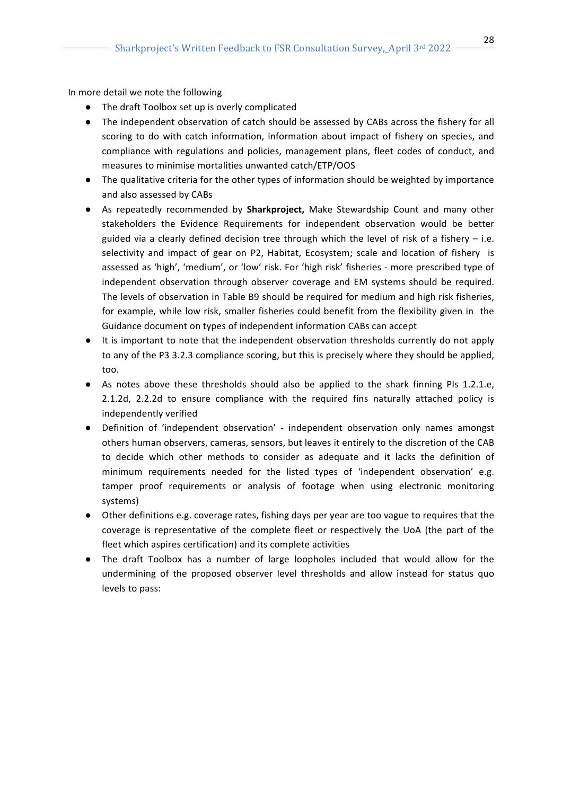In more detail we note the following

- The draft Toolbox set up is overly complicated
- The independent observation of catch should be assessed by CABs across the fishery for all scoring to do with catch information, information about impact of fishery on species, and compliance with regulations and policies, management plans, fleet codes of conduct, and measures to minimise mortalities unwanted catch/ETP/OOS
- The qualitative criteria for the other types of information should be weighted by importance and also assessed by CABs
- As repeatedly recommended by **Sharkproject**, Make Stewardship Count and many other stakeholders the Evidence Requirements for independent observation would be better guided via a clearly defined decision tree through which the level of risk of a fishery  $-$  i.e. selectivity and impact of gear on P2, Habitat, Ecosystem; scale and location of fishery is assessed as 'high', 'medium', or 'low' risk. For 'high risk' fisheries - more prescribed type of independent observation through observer coverage and EM systems should be required. The levels of observation in Table B9 should be required for medium and high risk fisheries, for example, while low risk, smaller fisheries could benefit from the flexibility given in the Guidance document on types of independent information CABs can accept
- It is important to note that the independent observation thresholds currently do not apply to any of the P3 3.2.3 compliance scoring, but this is precisely where they should be applied, too.
- As notes above these thresholds should also be applied to the shark finning PIs 1.2.1.e, 2.1.2d, 2.2.2d to ensure compliance with the required fins naturally attached policy is independently verified
- Definition of 'independent observation' independent observation only names amongst others human observers, cameras, sensors, but leaves it entirely to the discretion of the CAB to decide which other methods to consider as adequate and it lacks the definition of minimum requirements needed for the listed types of 'independent observation' e.g. tamper proof requirements or analysis of footage when using electronic monitoring systems)
- Other definitions e.g. coverage rates, fishing days per year are too vague to requires that the coverage is representative of the complete fleet or respectively the UoA (the part of the fleet which aspires certification) and its complete activities
- The draft Toolbox has a number of large loopholes included that would allow for the undermining of the proposed observer level thresholds and allow instead for status quo levels to pass: